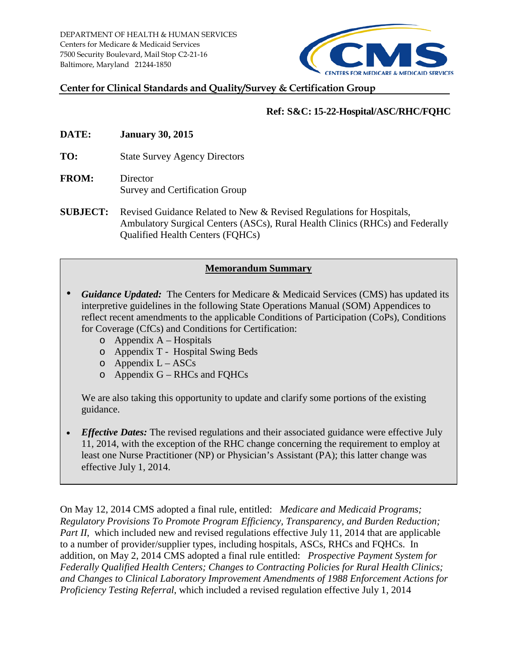

#### **Center for Clinical Standards and Quality/Survey & Certification Group**

#### **Ref: S&C: 15-22-Hospital/ASC/RHC/FQHC**

- **DATE: January 30, 2015**
- **TO:** State Survey Agency Directors
- **FROM:** Director Survey and Certification Group
- **SUBJECT:** Revised Guidance Related to New & Revised Regulations for Hospitals, Ambulatory Surgical Centers (ASCs), Rural Health Clinics (RHCs) and Federally Qualified Health Centers (FQHCs)

#### **Memorandum Summary**

- *Guidance Updated:* The Centers for Medicare & Medicaid Services (CMS) has updated its interpretive guidelines in the following State Operations Manual (SOM) Appendices to reflect recent amendments to the applicable Conditions of Participation (CoPs), Conditions for Coverage (CfCs) and Conditions for Certification:
	- $\circ$  Appendix A Hospitals
	- o Appendix T Hospital Swing Beds
	- $\circ$  Appendix L ASCs
	- o Appendix G RHCs and FQHCs

We are also taking this opportunity to update and clarify some portions of the existing guidance.

*Effective Dates:* The revised regulations and their associated guidance were effective July 11, 2014, with the exception of the RHC change concerning the requirement to employ at least one Nurse Practitioner (NP) or Physician's Assistant (PA); this latter change was effective July 1, 2014.

On May 12, 2014 CMS adopted a final rule, entitled: *Medicare and Medicaid Programs; Regulatory Provisions To Promote Program Efficiency, Transparency, and Burden Reduction; Part II*, which included new and revised regulations effective July 11, 2014 that are applicable to a number of provider/supplier types, including hospitals, ASCs, RHCs and FQHCs. In addition, on May 2, 2014 CMS adopted a final rule entitled: *Prospective Payment System for Federally Qualified Health Centers; Changes to Contracting Policies for Rural Health Clinics; and Changes to Clinical Laboratory Improvement Amendments of 1988 Enforcement Actions for Proficiency Testing Referral*, which included a revised regulation effective July 1, 2014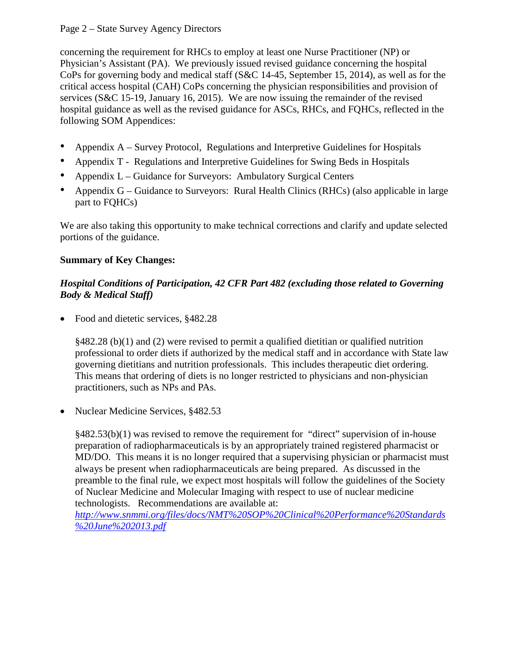#### Page 2 – State Survey Agency Directors

concerning the requirement for RHCs to employ at least one Nurse Practitioner (NP) or Physician's Assistant (PA). We previously issued revised guidance concerning the hospital CoPs for governing body and medical staff (S&C 14-45, September 15, 2014), as well as for the critical access hospital (CAH) CoPs concerning the physician responsibilities and provision of services (S&C 15-19, January 16, 2015). We are now issuing the remainder of the revised hospital guidance as well as the revised guidance for ASCs, RHCs, and FQHCs, reflected in the following SOM Appendices:

- Appendix A Survey Protocol, Regulations and Interpretive Guidelines for Hospitals
- Appendix T Regulations and Interpretive Guidelines for Swing Beds in Hospitals
- Appendix L Guidance for Surveyors: Ambulatory Surgical Centers
- Appendix G Guidance to Surveyors: Rural Health Clinics (RHCs) (also applicable in large part to FQHCs)

We are also taking this opportunity to make technical corrections and clarify and update selected portions of the guidance.

#### **Summary of Key Changes:**

#### *Hospital Conditions of Participation, 42 CFR Part 482 (excluding those related to Governing Body & Medical Staff)*

• Food and dietetic services, §482.28

§482.28 (b)(1) and (2) were revised to permit a qualified dietitian or qualified nutrition professional to order diets if authorized by the medical staff and in accordance with State law governing dietitians and nutrition professionals. This includes therapeutic diet ordering. This means that ordering of diets is no longer restricted to physicians and non-physician practitioners, such as NPs and PAs.

• Nuclear Medicine Services, §482.53

 $§482.53(b)(1)$  was revised to remove the requirement for "direct" supervision of in-house preparation of radiopharmaceuticals is by an appropriately trained registered pharmacist or MD/DO. This means it is no longer required that a supervising physician or pharmacist must always be present when radiopharmaceuticals are being prepared. As discussed in the preamble to the final rule, we expect most hospitals will follow the guidelines of the Society of Nuclear Medicine and Molecular Imaging with respect to use of nuclear medicine technologists. Recommendations are available at:

*[http://www.snmmi.org/files/docs/NMT%20SOP%20Clinical%20Performance%20Standards](http://www.snmmi.org/files/docs/NMT%20SOP%20Clinical%20Performance%20Standards%20June%202013.pdf) [%20June%202013.pdf](http://www.snmmi.org/files/docs/NMT%20SOP%20Clinical%20Performance%20Standards%20June%202013.pdf)*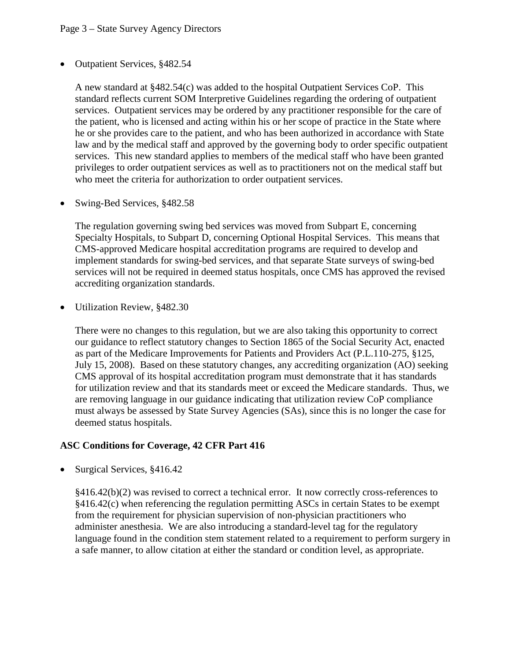• Outpatient Services, §482.54

A new standard at §482.54(c) was added to the hospital Outpatient Services CoP. This standard reflects current SOM Interpretive Guidelines regarding the ordering of outpatient services. Outpatient services may be ordered by any practitioner responsible for the care of the patient, who is licensed and acting within his or her scope of practice in the State where he or she provides care to the patient, and who has been authorized in accordance with State law and by the medical staff and approved by the governing body to order specific outpatient services. This new standard applies to members of the medical staff who have been granted privileges to order outpatient services as well as to practitioners not on the medical staff but who meet the criteria for authorization to order outpatient services.

• Swing-Bed Services, §482.58

The regulation governing swing bed services was moved from Subpart E, concerning Specialty Hospitals, to Subpart D, concerning Optional Hospital Services. This means that CMS-approved Medicare hospital accreditation programs are required to develop and implement standards for swing-bed services, and that separate State surveys of swing-bed services will not be required in deemed status hospitals, once CMS has approved the revised accrediting organization standards.

• Utilization Review, §482.30

There were no changes to this regulation, but we are also taking this opportunity to correct our guidance to reflect statutory changes to Section 1865 of the Social Security Act, enacted as part of the Medicare Improvements for Patients and Providers Act (P.L.110-275, §125, July 15, 2008). Based on these statutory changes, any accrediting organization (AO) seeking CMS approval of its hospital accreditation program must demonstrate that it has standards for utilization review and that its standards meet or exceed the Medicare standards. Thus, we are removing language in our guidance indicating that utilization review CoP compliance must always be assessed by State Survey Agencies (SAs), since this is no longer the case for deemed status hospitals.

#### **ASC Conditions for Coverage, 42 CFR Part 416**

• Surgical Services, §416.42

§416.42(b)(2) was revised to correct a technical error. It now correctly cross-references to §416.42(c) when referencing the regulation permitting ASCs in certain States to be exempt from the requirement for physician supervision of non-physician practitioners who administer anesthesia. We are also introducing a standard-level tag for the regulatory language found in the condition stem statement related to a requirement to perform surgery in a safe manner, to allow citation at either the standard or condition level, as appropriate.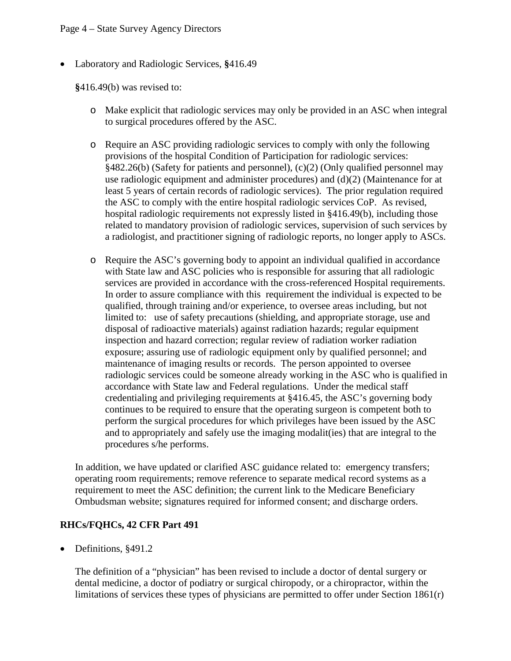• Laboratory and Radiologic Services, **§**416.49

**§**416.49(b) was revised to:

- o Make explicit that radiologic services may only be provided in an ASC when integral to surgical procedures offered by the ASC.
- o Require an ASC providing radiologic services to comply with only the following provisions of the hospital Condition of Participation for radiologic services: §482.26(b) (Safety for patients and personnel), (c)(2) (Only qualified personnel may use radiologic equipment and administer procedures) and (d)(2) (Maintenance for at least 5 years of certain records of radiologic services). The prior regulation required the ASC to comply with the entire hospital radiologic services CoP. As revised, hospital radiologic requirements not expressly listed in §416.49(b), including those related to mandatory provision of radiologic services, supervision of such services by a radiologist, and practitioner signing of radiologic reports, no longer apply to ASCs.
- o Require the ASC's governing body to appoint an individual qualified in accordance with State law and ASC policies who is responsible for assuring that all radiologic services are provided in accordance with the cross-referenced Hospital requirements. In order to assure compliance with this requirement the individual is expected to be qualified, through training and/or experience, to oversee areas including, but not limited to: use of safety precautions (shielding, and appropriate storage, use and disposal of radioactive materials) against radiation hazards; regular equipment inspection and hazard correction; regular review of radiation worker radiation exposure; assuring use of radiologic equipment only by qualified personnel; and maintenance of imaging results or records. The person appointed to oversee radiologic services could be someone already working in the ASC who is qualified in accordance with State law and Federal regulations. Under the medical staff credentialing and privileging requirements at §416.45, the ASC's governing body continues to be required to ensure that the operating surgeon is competent both to perform the surgical procedures for which privileges have been issued by the ASC and to appropriately and safely use the imaging modalit(ies) that are integral to the procedures s/he performs.

In addition, we have updated or clarified ASC guidance related to: emergency transfers; operating room requirements; remove reference to separate medical record systems as a requirement to meet the ASC definition; the current link to the Medicare Beneficiary Ombudsman website; signatures required for informed consent; and discharge orders.

#### **RHCs/FQHCs, 42 CFR Part 491**

• Definitions, §491.2

The definition of a "physician" has been revised to include a doctor of dental surgery or dental medicine, a doctor of podiatry or surgical chiropody, or a chiropractor, within the limitations of services these types of physicians are permitted to offer under Section 1861(r)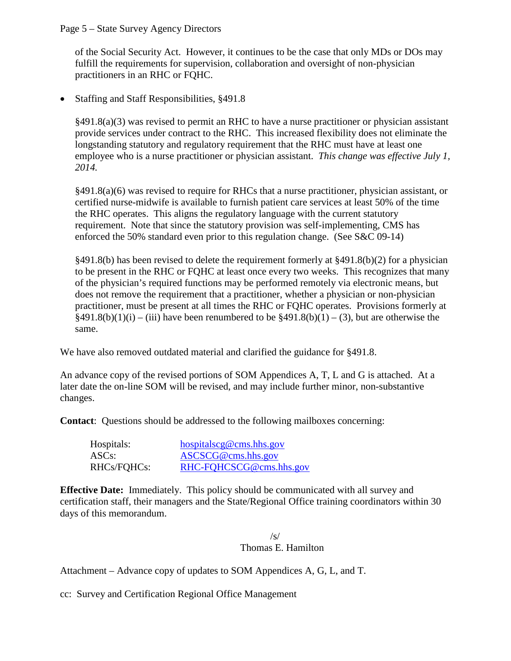Page 5 – State Survey Agency Directors

of the Social Security Act. However, it continues to be the case that only MDs or DOs may fulfill the requirements for supervision, collaboration and oversight of non-physician practitioners in an RHC or FQHC.

• Staffing and Staff Responsibilities, §491.8

 $\S491.8(a)(3)$  was revised to permit an RHC to have a nurse practitioner or physician assistant provide services under contract to the RHC. This increased flexibility does not eliminate the longstanding statutory and regulatory requirement that the RHC must have at least one employee who is a nurse practitioner or physician assistant. *This change was effective July 1, 2014.*

§491.8(a)(6) was revised to require for RHCs that a nurse practitioner, physician assistant, or certified nurse-midwife is available to furnish patient care services at least 50% of the time the RHC operates. This aligns the regulatory language with the current statutory requirement. Note that since the statutory provision was self-implementing, CMS has enforced the 50% standard even prior to this regulation change. (See S&C 09-14)

§491.8(b) has been revised to delete the requirement formerly at §491.8(b)(2) for a physician to be present in the RHC or FQHC at least once every two weeks. This recognizes that many of the physician's required functions may be performed remotely via electronic means, but does not remove the requirement that a practitioner, whether a physician or non-physician practitioner, must be present at all times the RHC or FQHC operates. Provisions formerly at  $§491.8(b)(1)(i) - (iii)$  have been renumbered to be  $§491.8(b)(1) - (3)$ , but are otherwise the same.

We have also removed outdated material and clarified the guidance for §491.8.

An advance copy of the revised portions of SOM Appendices A, T, L and G is attached. At a later date the on-line SOM will be revised, and may include further minor, non-substantive changes.

**Contact**: Questions should be addressed to the following mailboxes concerning:

| Hospitals:         | $hospital \n    seg@ \n    cms.hhs.gov$ |
|--------------------|-----------------------------------------|
| ASC <sub>s</sub> : | ASCSCG@cms.hhs.gov                      |
| RHCs/FQHCs:        | RHC-FOHCSCG@cms.hhs.gov                 |

**Effective Date:** Immediately. This policy should be communicated with all survey and certification staff, their managers and the State/Regional Office training coordinators within 30 days of this memorandum.

> $\sqrt{s}$ Thomas E. Hamilton

Attachment – Advance copy of updates to SOM Appendices A, G, L, and T.

cc: Survey and Certification Regional Office Management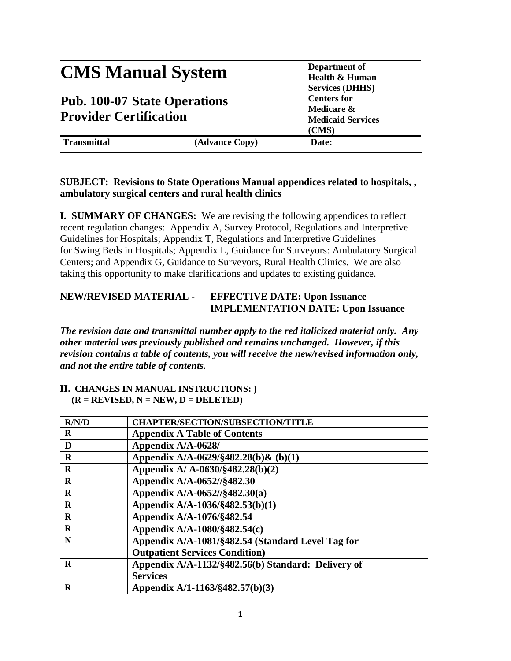# **CMS Manual System** Department of **Department** of **Health & Hums**

## **Pub. 100-07 State Operations Provider Certification**

**Health & Human Services (DHHS) Centers for Medicare & Medicaid Services (CMS)**

**Transmittal (Advance Copy) Date:**

#### **SUBJECT: Revisions to State Operations Manual appendices related to hospitals, , ambulatory surgical centers and rural health clinics**

**I. SUMMARY OF CHANGES:** We are revising the following appendices to reflect recent regulation changes: Appendix A, Survey Protocol, Regulations and Interpretive Guidelines for Hospitals; Appendix T, Regulations and Interpretive Guidelines for Swing Beds in Hospitals; Appendix L, Guidance for Surveyors: Ambulatory Surgical Centers; and Appendix G, Guidance to Surveyors, Rural Health Clinics. We are also taking this opportunity to make clarifications and updates to existing guidance.

#### **NEW/REVISED MATERIAL - EFFECTIVE DATE: Upon Issuance IMPLEMENTATION DATE: Upon Issuance**

*The revision date and transmittal number apply to the red italicized material only. Any other material was previously published and remains unchanged. However, if this revision contains a table of contents, you will receive the new/revised information only, and not the entire table of contents.*

#### **II. CHANGES IN MANUAL INSTRUCTIONS: )**  $(R = REVISED, N = NEW, D = DELETED)$

| R/N/D       | <b>CHAPTER/SECTION/SUBSECTION/TITLE</b>            |  |
|-------------|----------------------------------------------------|--|
| R           | <b>Appendix A Table of Contents</b>                |  |
| D           | Appendix A/A-0628/                                 |  |
| $\bf R$     | Appendix A/A-0629/§482.28(b) & (b)(1)              |  |
| $\bf{R}$    | Appendix A/ A-0630/§482.28(b)(2)                   |  |
| $\bf R$     | Appendix A/A-0652//§482.30                         |  |
| $\bf{R}$    | Appendix A/A-0652//§482.30(a)                      |  |
| $\bf{R}$    | Appendix A/A-1036/§482.53(b)(1)                    |  |
| $\mathbf R$ | Appendix A/A-1076/§482.54                          |  |
| $\bf R$     | Appendix A/A-1080/§482.54(c)                       |  |
| N           | Appendix A/A-1081/§482.54 (Standard Level Tag for  |  |
|             | <b>Outpatient Services Condition</b> )             |  |
| $\bf{R}$    | Appendix A/A-1132/§482.56(b) Standard: Delivery of |  |
|             | <b>Services</b>                                    |  |
| R           | Appendix A/1-1163/§482.57(b)(3)                    |  |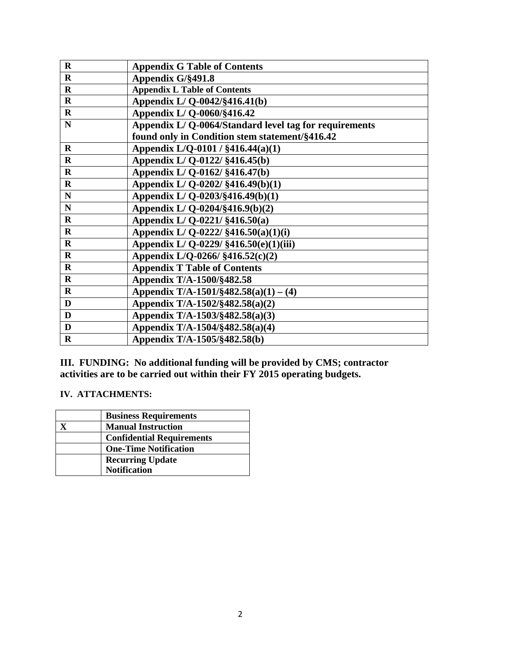| $\mathbf R$  | <b>Appendix G Table of Contents</b>                   |
|--------------|-------------------------------------------------------|
| $\mathbf R$  | Appendix G/§491.8                                     |
| $\mathbf R$  | <b>Appendix L Table of Contents</b>                   |
| $\mathbf R$  | Appendix L/Q-0042/§416.41(b)                          |
| $\mathbf R$  | Appendix L/Q-0060/§416.42                             |
| ${\bf N}$    | Appendix L/Q-0064/Standard level tag for requirements |
|              | found only in Condition stem statement/§416.42        |
| $\mathbf R$  | Appendix L/Q-0101 / §416.44(a)(1)                     |
| $\mathbf R$  | Appendix L/Q-0122/ §416.45(b)                         |
| $\mathbf R$  | Appendix L/Q-0162/ §416.47(b)                         |
| $\bf{R}$     | Appendix L/Q-0202/ §416.49(b)(1)                      |
| ${\bf N}$    | Appendix L/Q-0203/§416.49(b)(1)                       |
| ${\bf N}$    | Appendix L/Q-0204/§416.9(b)(2)                        |
| $\mathbf R$  | Appendix L/Q-0221/ §416.50(a)                         |
| $\bf R$      | Appendix L/Q-0222/ $§416.50(a)(1)(i)$                 |
| $\mathbf R$  | Appendix L/Q-0229/ §416.50(e)(1)(iii)                 |
| $\mathbf R$  | Appendix L/Q-0266/ §416.52(c)(2)                      |
| $\mathbf R$  | <b>Appendix T Table of Contents</b>                   |
| $\bf{R}$     | Appendix T/A-1500/§482.58                             |
| $\mathbf R$  | Appendix T/A-1501/§482.58(a)(1) – (4)                 |
| $\mathbf{D}$ | Appendix T/A-1502/§482.58(a)(2)                       |
| D            | Appendix T/A-1503/§482.58(a)(3)                       |
| D            | Appendix T/A-1504/§482.58(a)(4)                       |
| $\mathbf R$  | Appendix T/A-1505/§482.58(b)                          |

**III. FUNDING: No additional funding will be provided by CMS; contractor activities are to be carried out within their FY 2015 operating budgets.** 

#### **IV. ATTACHMENTS:**

| <b>Business Requirements</b>     |
|----------------------------------|
| <b>Manual Instruction</b>        |
| <b>Confidential Requirements</b> |
| <b>One-Time Notification</b>     |
| <b>Recurring Update</b>          |
| <b>Notification</b>              |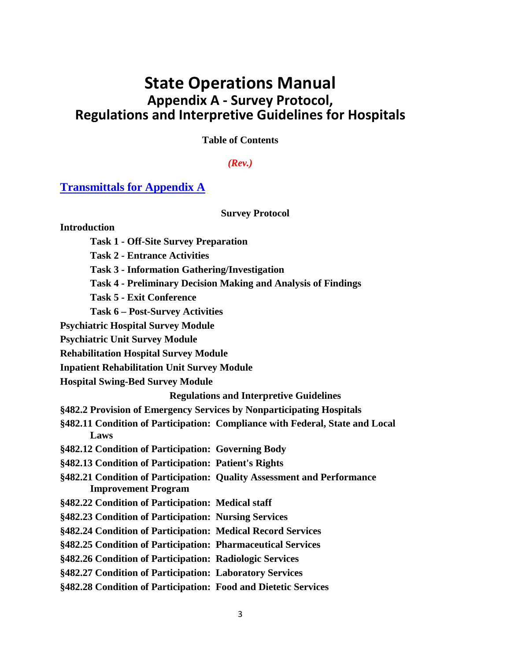## **State Operations Manual Appendix A - Survey Protocol, Regulations and Interpretive Guidelines for Hospitals**

**Table of Contents**

#### *(Rev.)*

#### **Transmittals for Appendix A**

**Survey Protocol**

#### **Introduction**

- **Task 1 - Off-Site Survey Preparation**
- **Task 2 - Entrance Activities**
- **Task 3 - Information Gathering/Investigation**
- **Task 4 - Preliminary Decision Making and Analysis of Findings**
- **Task 5 - Exit Conference**
- **Task 6 – Post-Survey Activities**
- **Psychiatric Hospital Survey Module**
- **Psychiatric Unit Survey Module**
- **Rehabilitation Hospital Survey Module**
- **Inpatient Rehabilitation Unit Survey Module**
- **Hospital Swing-Bed Survey Module**

**Regulations and Interpretive Guidelines**

- **§482.2 Provision of Emergency Services by Nonparticipating Hospitals**
- **§482.11 Condition of Participation: Compliance with Federal, State and Local Laws**
- **§482.12 Condition of Participation: Governing Body**
- **§482.13 Condition of Participation: Patient's Rights**
- **§482.21 Condition of Participation: Quality Assessment and Performance Improvement Program**
- **§482.22 Condition of Participation: Medical staff**
- **§482.23 Condition of Participation: Nursing Services**
- **§482.24 Condition of Participation: Medical Record Services**
- **§482.25 Condition of Participation: Pharmaceutical Services**
- **[§482.26 Condition of Participation: Radiologic Services](#page-37-0)**
- **§482.27 Condition of Participation: Laboratory Services**
- **§482.28 Condition of Participation: Food and Dietetic Services**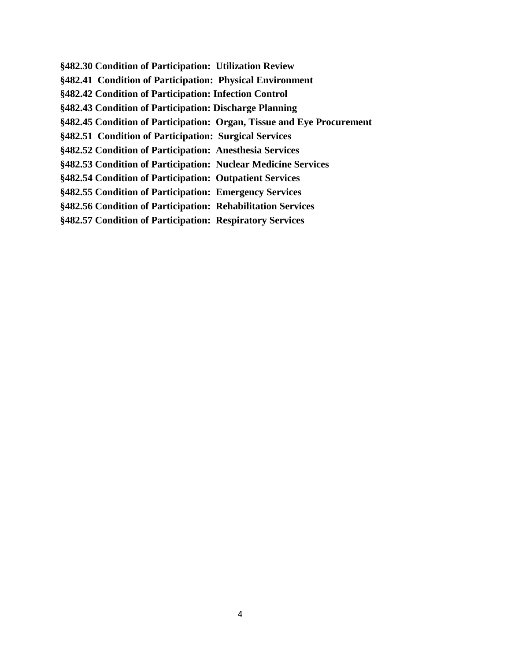**[§482.30 Condition of Participation: Utilization Review](#page-12-0) §482.41 Condition of Participation: Physical Environment §482.42 Condition of Participation: Infection Control §482.43 Condition of Participation: Discharge Planning §482.45 Condition of Participation: Organ, Tissue and Eye Procurement §482.51 Condition of Participation: Surgical Services §482.52 Condition of Participation: Anesthesia Services §482.53 Condition of Participation: Nuclear Medicine Services [§482.54 Condition of Participation: Outpatient Services](#page-18-0) §482.55 Condition of Participation: Emergency Services §482.56 Condition of Participation: Rehabilitation Services §482.57 Condition of Participation: Respiratory Services**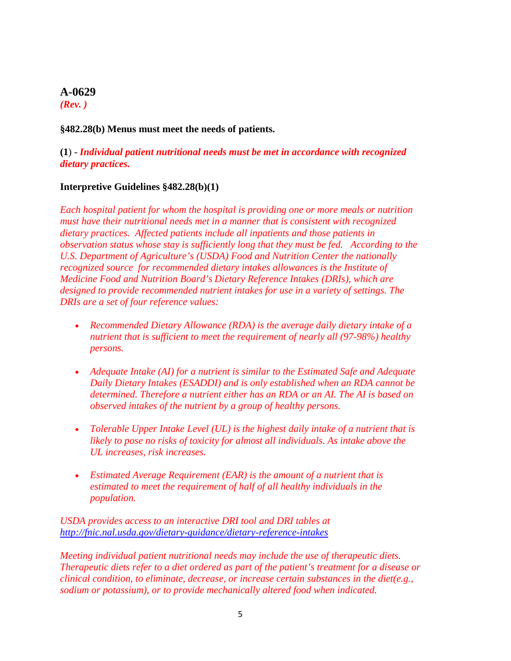#### **A-0629**

*(Rev. )*

#### **§482.28(b) Menus must meet the needs of patients.**

#### **(1**) - *Individual patient nutritional needs must be met in accordance with recognized dietary practices.*

#### **Interpretive Guidelines §482.28(b)(1)**

*Each hospital patient for whom the hospital is providing one or more meals or nutrition must have their nutritional needs met in a manner that is consistent with recognized dietary practices. Affected patients include all inpatients and those patients in observation status whose stay is sufficiently long that they must be fed. According to the U.S. Department of Agriculture's (USDA) Food and Nutrition Center the nationally recognized source for recommended dietary intakes allowances is the Institute of Medicine Food and Nutrition Board's Dietary Reference Intakes (DRIs), which are designed to provide recommended nutrient intakes for use in a variety of settings. The DRIs are a set of four reference values:*

- *Recommended Dietary Allowance (RDA) is the average daily dietary intake of a nutrient that is sufficient to meet the requirement of nearly all (97-98%) healthy persons.*
- *Adequate Intake (AI) for a nutrient is similar to the Estimated Safe and Adequate Daily Dietary Intakes (ESADDI) and is only established when an RDA cannot be determined. Therefore a nutrient either has an RDA or an AI. The AI is based on observed intakes of the nutrient by a group of healthy persons.*
- *Tolerable Upper Intake Level (UL) is the highest daily intake of a nutrient that is likely to pose no risks of toxicity for almost all individuals. As intake above the UL increases, risk increases.*
- *Estimated Average Requirement (EAR) is the amount of a nutrient that is estimated to meet the requirement of half of all healthy individuals in the population.*

*USDA provides access to an interactive DRI tool and DRI tables at <http://fnic.nal.usda.gov/dietary-guidance/dietary-reference-intakes>*

*Meeting individual patient nutritional needs may include the use of therapeutic diets. Therapeutic diets refer to a diet ordered as part of the patient's treatment for a disease or clinical condition, to eliminate, decrease, or increase certain substances in the diet(e.g., sodium or potassium), or to provide mechanically altered food when indicated.*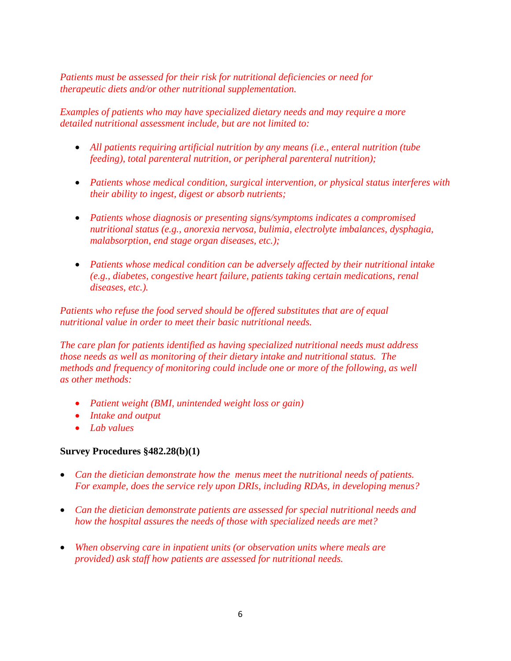*Patients must be assessed for their risk for nutritional deficiencies or need for therapeutic diets and/or other nutritional supplementation.* 

*Examples of patients who may have specialized dietary needs and may require a more detailed nutritional assessment include, but are not limited to:*

- *All patients requiring artificial nutrition by any means (i.e., enteral nutrition (tube feeding), total parenteral nutrition, or peripheral parenteral nutrition);*
- *Patients whose medical condition, surgical intervention, or physical status interferes with their ability to ingest, digest or absorb nutrients;*
- *Patients whose diagnosis or presenting signs/symptoms indicates a compromised nutritional status (e.g., anorexia nervosa, bulimia, electrolyte imbalances, dysphagia, malabsorption, end stage organ diseases, etc.);*
- *Patients whose medical condition can be adversely affected by their nutritional intake (e.g., diabetes, congestive heart failure, patients taking certain medications, renal diseases, etc.).*

*Patients who refuse the food served should be offered substitutes that are of equal nutritional value in order to meet their basic nutritional needs.* 

*The care plan for patients identified as having specialized nutritional needs must address those needs as well as monitoring of their dietary intake and nutritional status. The methods and frequency of monitoring could include one or more of the following, as well as other methods:* 

- *Patient weight (BMI, unintended weight loss or gain)*
- *Intake and output*
- *Lab values*

#### **Survey Procedures §482.28(b)(1)**

- *Can the dietician demonstrate how the menus meet the nutritional needs of patients. For example, does the service rely upon DRIs, including RDAs, in developing menus?*
- *Can the dietician demonstrate patients are assessed for special nutritional needs and how the hospital assures the needs of those with specialized needs are met?*
- *When observing care in inpatient units (or observation units where meals are provided) ask staff how patients are assessed for nutritional needs.*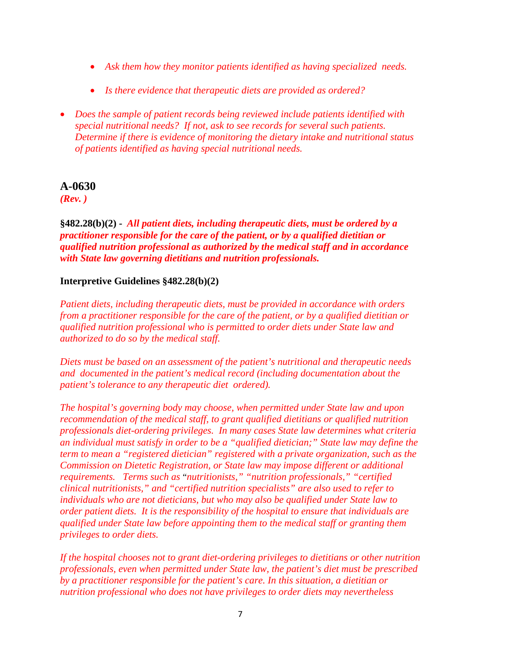- *Ask them how they monitor patients identified as having specialized needs.*
- *Is there evidence that therapeutic diets are provided as ordered?*
- *Does the sample of patient records being reviewed include patients identified with special nutritional needs? If not, ask to see records for several such patients. Determine if there is evidence of monitoring the dietary intake and nutritional status of patients identified as having special nutritional needs.*

#### **A-0630**

*(Rev. )*

#### **§482.28(b)(2) -** *All patient diets, including therapeutic diets, must be ordered by a practitioner responsible for the care of the patient, or by a qualified dietitian or qualified nutrition professional as authorized by the medical staff and in accordance with State law governing dietitians and nutrition professionals.*

#### **Interpretive Guidelines §482.28(b)(2)**

*Patient diets, including therapeutic diets, must be provided in accordance with orders from a practitioner responsible for the care of the patient, or by a qualified dietitian or qualified nutrition professional who is permitted to order diets under State law and authorized to do so by the medical staff.*

*Diets must be based on an assessment of the patient's nutritional and therapeutic needs and documented in the patient's medical record (including documentation about the patient's tolerance to any therapeutic diet ordered).*

*The hospital's governing body may choose, when permitted under State law and upon recommendation of the medical staff, to grant qualified dietitians or qualified nutrition professionals diet-ordering privileges. In many cases State law determines what criteria an individual must satisfy in order to be a "qualified dietician;" State law may define the term to mean a "registered dietician" registered with a private organization, such as the Commission on Dietetic Registration, or State law may impose different or additional requirements. Terms such as* "*nutritionists," "nutrition professionals," "certified clinical nutritionists," and "certified nutrition specialists" are also used to refer to individuals who are not dieticians, but who may also be qualified under State law to order patient diets. It is the responsibility of the hospital to ensure that individuals are qualified under State law before appointing them to the medical staff or granting them privileges to order diets.*

*If the hospital chooses not to grant diet-ordering privileges to dietitians or other nutrition professionals, even when permitted under State law, the patient's diet must be prescribed by a practitioner responsible for the patient's care. In this situation, a dietitian or nutrition professional who does not have privileges to order diets may nevertheless*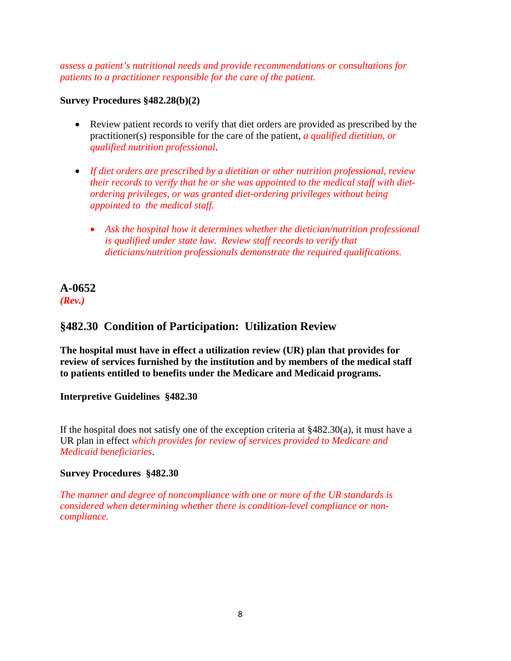*assess a patient's nutritional needs and provide recommendations or consultations for patients to a practitioner responsible for the care of the patient.* 

#### **Survey Procedures §482.28(b)(2)**

- Review patient records to verify that diet orders are provided as prescribed by the practitioner(s) responsible for the care of the patient, *a qualified dietitian, or qualified nutrition professional*.
- *If diet orders are prescribed by a dietitian or other nutrition professional, review their records to verify that he or she was appointed to the medical staff with dietordering privileges, or was granted diet-ordering privileges without being appointed to the medical staff.* 
	- *Ask the hospital how it determines whether the dietician/nutrition professional is qualified under state law. Review staff records to verify that dieticians/nutrition professionals demonstrate the required qualifications.*

#### **A-0652** *(Rev.)*

## <span id="page-12-0"></span>**§482.30 Condition of Participation: Utilization Review**

**The hospital must have in effect a utilization review (UR) plan that provides for review of services furnished by the institution and by members of the medical staff to patients entitled to benefits under the Medicare and Medicaid programs.**

#### **Interpretive Guidelines §482.30**

If the hospital does not satisfy one of the exception criteria at  $\frac{8482.30(a)}{a}$ , it must have a UR plan in effect *which provides for review of services provided to Medicare and Medicaid beneficiaries*.

#### **Survey Procedures §482.30**

*The manner and degree of noncompliance with one or more of the UR standards is considered when determining whether there is condition-level compliance or noncompliance.*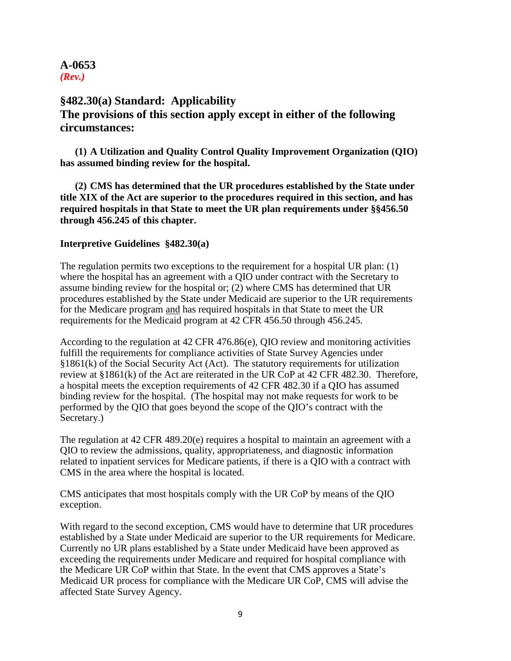#### **A-0653** *(Rev.)*

## **§482.30(a) Standard: Applicability The provisions of this section apply except in either of the following circumstances:**

**(1) A Utilization and Quality Control Quality Improvement Organization (QIO) has assumed binding review for the hospital.**

**(2) CMS has determined that the UR procedures established by the State under title XIX of the Act are superior to the procedures required in this section, and has required hospitals in that State to meet the UR plan requirements under §§456.50 through 456.245 of this chapter.**

#### **Interpretive Guidelines §482.30(a)**

The regulation permits two exceptions to the requirement for a hospital UR plan: (1) where the hospital has an agreement with a QIO under contract with the Secretary to assume binding review for the hospital or; (2) where CMS has determined that UR procedures established by the State under Medicaid are superior to the UR requirements for the Medicare program and has required hospitals in that State to meet the UR requirements for the Medicaid program at 42 CFR 456.50 through 456.245.

According to the regulation at 42 CFR 476.86(e), QIO review and monitoring activities fulfill the requirements for compliance activities of State Survey Agencies under §1861(k) of the Social Security Act (Act). The statutory requirements for utilization review at §1861(k) of the Act are reiterated in the UR CoP at 42 CFR 482.30. Therefore, a hospital meets the exception requirements of 42 CFR 482.30 if a QIO has assumed binding review for the hospital. (The hospital may not make requests for work to be performed by the QIO that goes beyond the scope of the QIO's contract with the Secretary.)

The regulation at 42 CFR 489.20(e) requires a hospital to maintain an agreement with a QIO to review the admissions, quality, appropriateness, and diagnostic information related to inpatient services for Medicare patients, if there is a QIO with a contract with CMS in the area where the hospital is located.

CMS anticipates that most hospitals comply with the UR CoP by means of the QIO exception.

With regard to the second exception, CMS would have to determine that UR procedures established by a State under Medicaid are superior to the UR requirements for Medicare. Currently no UR plans established by a State under Medicaid have been approved as exceeding the requirements under Medicare and required for hospital compliance with the Medicare UR CoP within that State. In the event that CMS approves a State's Medicaid UR process for compliance with the Medicare UR CoP, CMS will advise the affected State Survey Agency.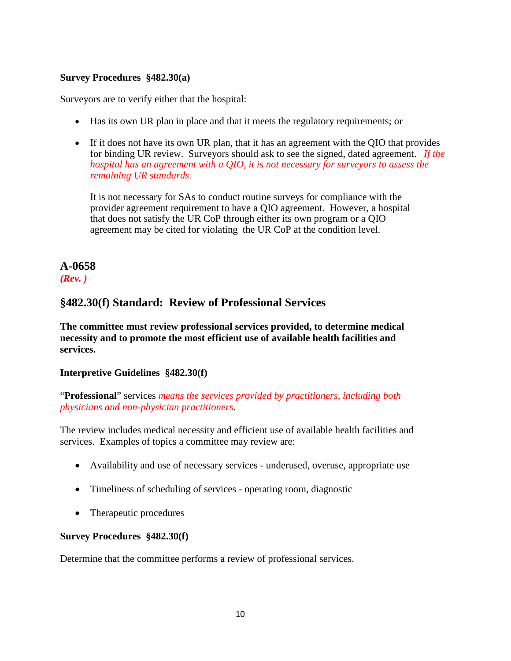#### **Survey Procedures §482.30(a)**

Surveyors are to verify either that the hospital:

- Has its own UR plan in place and that it meets the regulatory requirements; or
- If it does not have its own UR plan, that it has an agreement with the OIO that provides for binding UR review. Surveyors should ask to see the signed, dated agreement. *If the hospital has an agreement with a QIO, it is not necessary for surveyors to assess the remaining UR standards.*

It is not necessary for SAs to conduct routine surveys for compliance with the provider agreement requirement to have a QIO agreement. However, a hospital that does not satisfy the UR CoP through either its own program or a QIO agreement may be cited for violating the UR CoP at the condition level.

## **A-0658** *(Rev. )*

## **§482.30(f) Standard: Review of Professional Services**

**The committee must review professional services provided, to determine medical necessity and to promote the most efficient use of available health facilities and services.**

#### **Interpretive Guidelines §482.30(f)**

"**Professional**" services *means the services provided by practitioners, including both physicians and non-physician practitioners*.

The review includes medical necessity and efficient use of available health facilities and services. Examples of topics a committee may review are:

- Availability and use of necessary services underused, overuse, appropriate use
- Timeliness of scheduling of services operating room, diagnostic
- Therapeutic procedures

#### **Survey Procedures §482.30(f)**

Determine that the committee performs a review of professional services.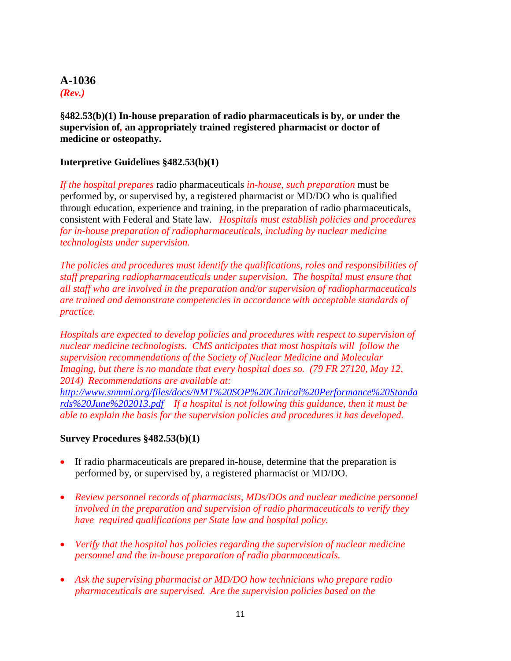#### **A-1036** *(Rev.)*

**§482.53(b)(1) In-house preparation of radio pharmaceuticals is by, or under the supervision of***,* **an appropriately trained registered pharmacist or doctor of medicine or osteopathy.**

#### **Interpretive Guidelines §482.53(b)(1)**

*If the hospital prepares* radio pharmaceuticals *in-house, such preparation* must be performed by, or supervised by, a registered pharmacist or MD/DO who is qualified through education, experience and training, in the preparation of radio pharmaceuticals, consistent with Federal and State law. *Hospitals must establish policies and procedures for in-house preparation of radiopharmaceuticals, including by nuclear medicine technologists under supervision.* 

*The policies and procedures must identify the qualifications, roles and responsibilities of staff preparing radiopharmaceuticals under supervision. The hospital must ensure that all staff who are involved in the preparation and/or supervision of radiopharmaceuticals are trained and demonstrate competencies in accordance with acceptable standards of practice.* 

*Hospitals are expected to develop policies and procedures with respect to supervision of nuclear medicine technologists. CMS anticipates that most hospitals will follow the supervision recommendations of the Society of Nuclear Medicine and Molecular Imaging, but there is no mandate that every hospital does so. (79 FR 27120, May 12, 2014) Recommendations are available at:* 

*[http://www.snmmi.org/files/docs/NMT%20SOP%20Clinical%20Performance%20Standa](http://www.snmmi.org/files/docs/NMT%20SOP%20Clinical%20Performance%20Standards%20June%202013.pdf) [rds%20June%202013.pdf](http://www.snmmi.org/files/docs/NMT%20SOP%20Clinical%20Performance%20Standards%20June%202013.pdf) If a hospital is not following this guidance, then it must be able to explain the basis for the supervision policies and procedures it has developed.*

#### **Survey Procedures §482.53(b)(1)**

- If radio pharmaceuticals are prepared in-house, determine that the preparation is performed by, or supervised by, a registered pharmacist or MD/DO.
- *Review personnel records of pharmacists, MDs/DOs and nuclear medicine personnel involved in the preparation and supervision of radio pharmaceuticals to verify they have required qualifications per State law and hospital policy.*
- *Verify that the hospital has policies regarding the supervision of nuclear medicine personnel and the in-house preparation of radio pharmaceuticals.*
- *Ask the supervising pharmacist or MD/DO how technicians who prepare radio pharmaceuticals are supervised. Are the supervision policies based on the*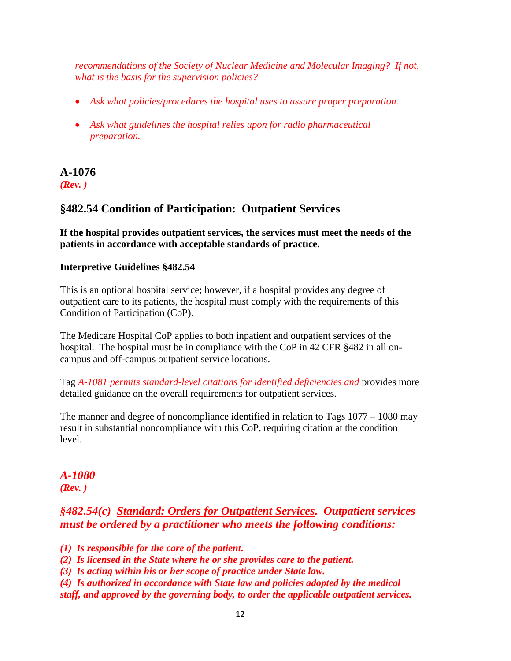*recommendations of the Society of Nuclear Medicine and Molecular Imaging? If not, what is the basis for the supervision policies?*

- *Ask what policies/procedures the hospital uses to assure proper preparation.*
- *Ask what guidelines the hospital relies upon for radio pharmaceutical preparation.*

### **A-1076** *(Rev. )*

## **§482.54 Condition of Participation: Outpatient Services**

**If the hospital provides outpatient services, the services must meet the needs of the patients in accordance with acceptable standards of practice.**

#### **Interpretive Guidelines §482.54**

This is an optional hospital service; however, if a hospital provides any degree of outpatient care to its patients, the hospital must comply with the requirements of this Condition of Participation (CoP).

The Medicare Hospital CoP applies to both inpatient and outpatient services of the hospital. The hospital must be in compliance with the CoP in 42 CFR §482 in all oncampus and off-campus outpatient service locations.

Tag *A-1081 permits standard-level citations for identified deficiencies and* provides more detailed guidance on the overall requirements for outpatient services.

The manner and degree of noncompliance identified in relation to Tags 1077 – 1080 may result in substantial noncompliance with this CoP, requiring citation at the condition level.

## *A-1080 (Rev. )*

## *§482.54(c) Standard: Orders for Outpatient Services. Outpatient services must be ordered by a practitioner who meets the following conditions:*

*(1) Is responsible for the care of the patient.*

*(2) Is licensed in the State where he or she provides care to the patient.*

*(3) Is acting within his or her scope of practice under State law.*

*(4) Is authorized in accordance with State law and policies adopted by the medical staff, and approved by the governing body, to order the applicable outpatient services.*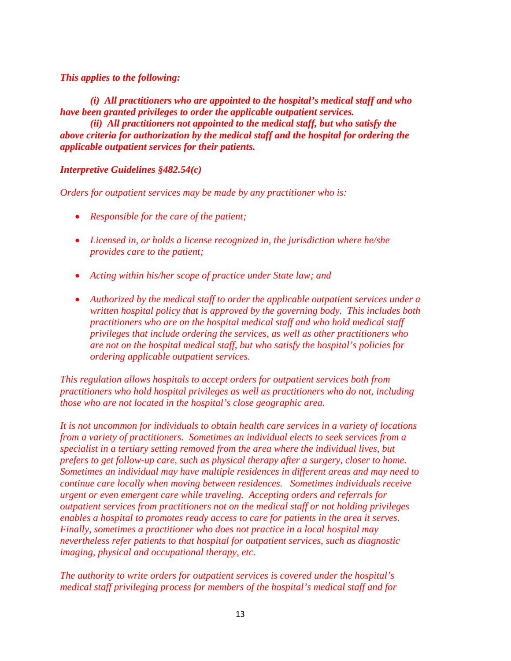#### *This applies to the following:*

*(i) All practitioners who are appointed to the hospital's medical staff and who have been granted privileges to order the applicable outpatient services.*

*(ii) All practitioners not appointed to the medical staff, but who satisfy the above criteria for authorization by the medical staff and the hospital for ordering the applicable outpatient services for their patients.* 

#### *Interpretive Guidelines §482.54(c)*

*Orders for outpatient services may be made by any practitioner who is:*

- *Responsible for the care of the patient;*
- *Licensed in, or holds a license recognized in, the jurisdiction where he/she provides care to the patient;*
- *Acting within his/her scope of practice under State law; and*
- *Authorized by the medical staff to order the applicable outpatient services under a written hospital policy that is approved by the governing body. This includes both practitioners who are on the hospital medical staff and who hold medical staff privileges that include ordering the services, as well as other practitioners who are not on the hospital medical staff, but who satisfy the hospital's policies for ordering applicable outpatient services.*

*This regulation allows hospitals to accept orders for outpatient services both from practitioners who hold hospital privileges as well as practitioners who do not, including those who are not located in the hospital's close geographic area.* 

*It is not uncommon for individuals to obtain health care services in a variety of locations from a variety of practitioners. Sometimes an individual elects to seek services from a specialist in a tertiary setting removed from the area where the individual lives, but prefers to get follow-up care, such as physical therapy after a surgery, closer to home. Sometimes an individual may have multiple residences in different areas and may need to continue care locally when moving between residences. Sometimes individuals receive urgent or even emergent care while traveling. Accepting orders and referrals for outpatient services from practitioners not on the medical staff or not holding privileges enables a hospital to promotes ready access to care for patients in the area it serves. Finally, sometimes a practitioner who does not practice in a local hospital may nevertheless refer patients to that hospital for outpatient services, such as diagnostic imaging, physical and occupational therapy, etc.*

*The authority to write orders for outpatient services is covered under the hospital's medical staff privileging process for members of the hospital's medical staff and for*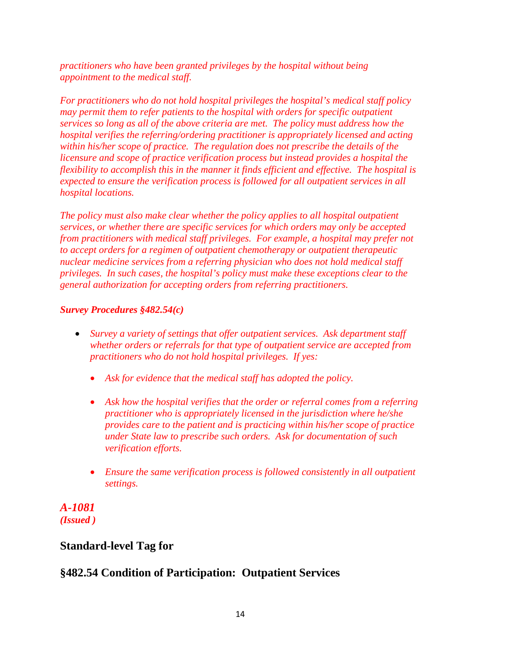*practitioners who have been granted privileges by the hospital without being appointment to the medical staff.*

*For practitioners who do not hold hospital privileges the hospital's medical staff policy may permit them to refer patients to the hospital with orders for specific outpatient services so long as all of the above criteria are met. The policy must address how the hospital verifies the referring/ordering practitioner is appropriately licensed and acting within his/her scope of practice. The regulation does not prescribe the details of the licensure and scope of practice verification process but instead provides a hospital the flexibility to accomplish this in the manner it finds efficient and effective. The hospital is expected to ensure the verification process is followed for all outpatient services in all hospital locations.* 

*The policy must also make clear whether the policy applies to all hospital outpatient services, or whether there are specific services for which orders may only be accepted from practitioners with medical staff privileges. For example, a hospital may prefer not to accept orders for a regimen of outpatient chemotherapy or outpatient therapeutic nuclear medicine services from a referring physician who does not hold medical staff privileges. In such cases, the hospital's policy must make these exceptions clear to the general authorization for accepting orders from referring practitioners.*

#### *Survey Procedures §482.54(c)*

- *Survey a variety of settings that offer outpatient services. Ask department staff whether orders or referrals for that type of outpatient service are accepted from practitioners who do not hold hospital privileges. If yes:*
	- *Ask for evidence that the medical staff has adopted the policy.*
	- *Ask how the hospital verifies that the order or referral comes from a referring practitioner who is appropriately licensed in the jurisdiction where he/she provides care to the patient and is practicing within his/her scope of practice under State law to prescribe such orders. Ask for documentation of such verification efforts.*
	- *Ensure the same verification process is followed consistently in all outpatient settings.*

*A-1081 (Issued )*

## <span id="page-18-0"></span>**Standard-level Tag for**

## **§482.54 Condition of Participation: Outpatient Services**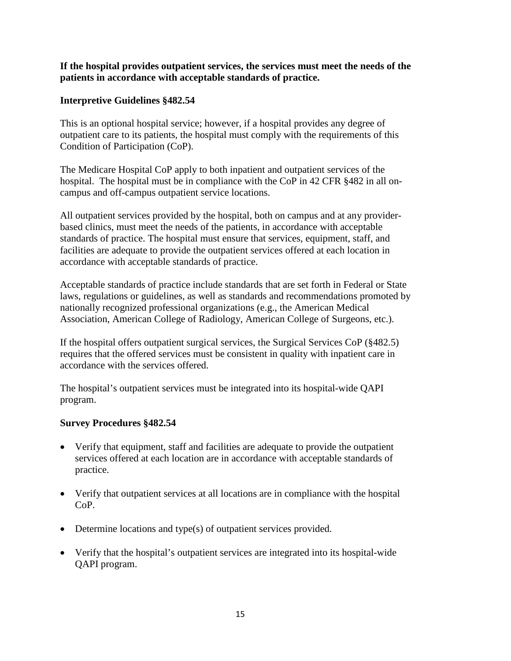**If the hospital provides outpatient services, the services must meet the needs of the patients in accordance with acceptable standards of practice.**

#### **Interpretive Guidelines §482.54**

This is an optional hospital service; however, if a hospital provides any degree of outpatient care to its patients, the hospital must comply with the requirements of this Condition of Participation (CoP).

The Medicare Hospital CoP apply to both inpatient and outpatient services of the hospital. The hospital must be in compliance with the CoP in 42 CFR §482 in all oncampus and off-campus outpatient service locations.

All outpatient services provided by the hospital, both on campus and at any providerbased clinics, must meet the needs of the patients, in accordance with acceptable standards of practice. The hospital must ensure that services, equipment, staff, and facilities are adequate to provide the outpatient services offered at each location in accordance with acceptable standards of practice.

Acceptable standards of practice include standards that are set forth in Federal or State laws, regulations or guidelines, as well as standards and recommendations promoted by nationally recognized professional organizations (e.g., the American Medical Association, American College of Radiology, American College of Surgeons, etc.).

If the hospital offers outpatient surgical services, the Surgical Services CoP (§482.5) requires that the offered services must be consistent in quality with inpatient care in accordance with the services offered.

The hospital's outpatient services must be integrated into its hospital-wide QAPI program.

#### **Survey Procedures §482.54**

- Verify that equipment, staff and facilities are adequate to provide the outpatient services offered at each location are in accordance with acceptable standards of practice.
- Verify that outpatient services at all locations are in compliance with the hospital CoP.
- Determine locations and type(s) of outpatient services provided.
- Verify that the hospital's outpatient services are integrated into its hospital-wide QAPI program.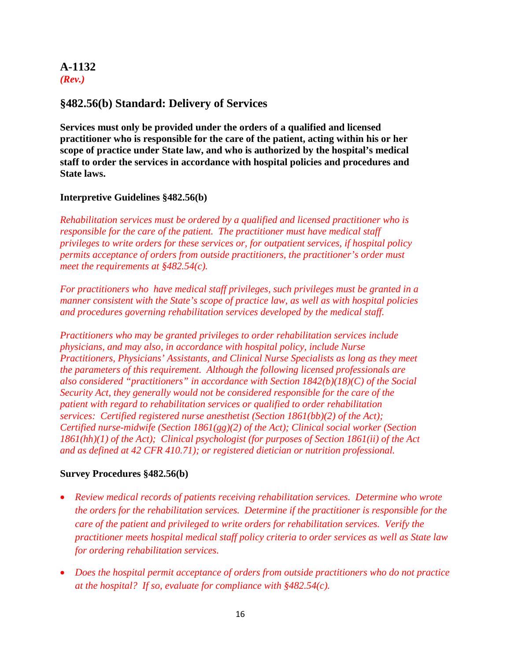#### **A-1132**  *(Rev.)*

## **§482.56(b) Standard: Delivery of Services**

**Services must only be provided under the orders of a qualified and licensed practitioner who is responsible for the care of the patient, acting within his or her scope of practice under State law, and who is authorized by the hospital's medical staff to order the services in accordance with hospital policies and procedures and State laws.**

#### **Interpretive Guidelines §482.56(b)**

*Rehabilitation services must be ordered by a qualified and licensed practitioner who is responsible for the care of the patient. The practitioner must have medical staff privileges to write orders for these services or, for outpatient services, if hospital policy permits acceptance of orders from outside practitioners, the practitioner's order must meet the requirements at §482.54(c).*

*For practitioners who have medical staff privileges, such privileges must be granted in a manner consistent with the State's scope of practice law, as well as with hospital policies and procedures governing rehabilitation services developed by the medical staff.*

*Practitioners who may be granted privileges to order rehabilitation services include physicians, and may also, in accordance with hospital policy, include Nurse Practitioners, Physicians' Assistants, and Clinical Nurse Specialists as long as they meet the parameters of this requirement. Although the following licensed professionals are also considered "practitioners" in accordance with Section 1842(b)(18)(C) of the Social Security Act, they generally would not be considered responsible for the care of the patient with regard to rehabilitation services or qualified to order rehabilitation services: Certified registered nurse anesthetist (Section 1861(bb)(2) of the Act); Certified nurse-midwife (Section 1861(gg)(2) of the Act); Clinical social worker (Section 1861(hh)(1) of the Act); Clinical psychologist (for purposes of Section 1861(ii) of the Act and as defined at 42 CFR 410.71); or registered dietician or nutrition professional.*

#### **Survey Procedures §482.56(b)**

- *Review medical records of patients receiving rehabilitation services. Determine who wrote the orders for the rehabilitation services. Determine if the practitioner is responsible for the care of the patient and privileged to write orders for rehabilitation services. Verify the practitioner meets hospital medical staff policy criteria to order services as well as State law for ordering rehabilitation services.*
- *Does the hospital permit acceptance of orders from outside practitioners who do not practice at the hospital? If so, evaluate for compliance with §482.54(c).*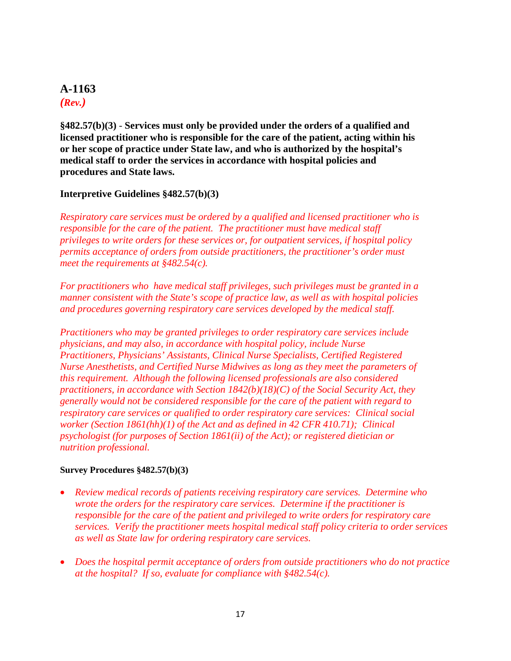## **A-1163**  *(Rev.)*

**§482.57(b)(3)** - **Services must only be provided under the orders of a qualified and licensed practitioner who is responsible for the care of the patient, acting within his or her scope of practice under State law, and who is authorized by the hospital's medical staff to order the services in accordance with hospital policies and procedures and State laws.**

#### **Interpretive Guidelines §482.57(b)(3)**

*Respiratory care services must be ordered by a qualified and licensed practitioner who is responsible for the care of the patient. The practitioner must have medical staff privileges to write orders for these services or, for outpatient services, if hospital policy permits acceptance of orders from outside practitioners, the practitioner's order must meet the requirements at §482.54(c).*

*For practitioners who have medical staff privileges, such privileges must be granted in a manner consistent with the State's scope of practice law, as well as with hospital policies and procedures governing respiratory care services developed by the medical staff.*

*Practitioners who may be granted privileges to order respiratory care services include physicians, and may also, in accordance with hospital policy, include Nurse Practitioners, Physicians' Assistants, Clinical Nurse Specialists, Certified Registered Nurse Anesthetists, and Certified Nurse Midwives as long as they meet the parameters of this requirement. Although the following licensed professionals are also considered practitioners, in accordance with Section 1842(b)(18)(C) of the Social Security Act, they generally would not be considered responsible for the care of the patient with regard to respiratory care services or qualified to order respiratory care services: Clinical social worker (Section 1861(hh)(1) of the Act and as defined in 42 CFR 410.71); Clinical psychologist (for purposes of Section 1861(ii) of the Act); or registered dietician or nutrition professional.*

#### **Survey Procedures §482.57(b)(3)**

- *Review medical records of patients receiving respiratory care services. Determine who wrote the orders for the respiratory care services. Determine if the practitioner is responsible for the care of the patient and privileged to write orders for respiratory care services. Verify the practitioner meets hospital medical staff policy criteria to order services as well as State law for ordering respiratory care services.*
- *Does the hospital permit acceptance of orders from outside practitioners who do not practice at the hospital? If so, evaluate for compliance with §482.54(c).*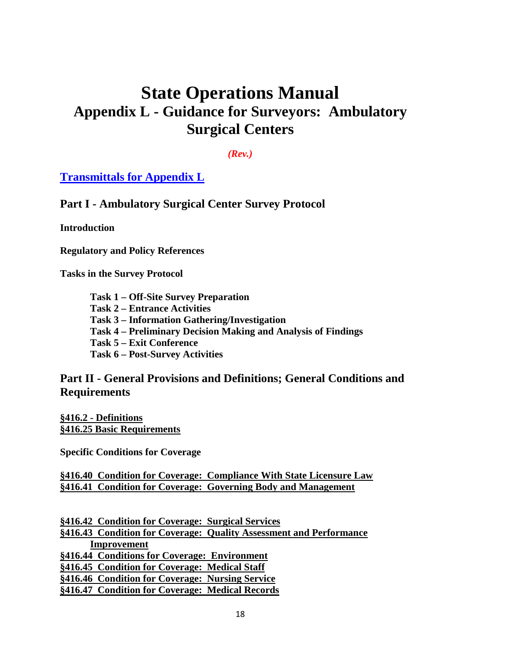# **State Operations Manual Appendix L - Guidance for Surveyors: Ambulatory Surgical Centers**

*(Rev.)*

**Transmittals for Appendix L**

**Part I - Ambulatory Surgical Center Survey Protocol**

**Introduction**

**Regulatory and Policy References**

**Tasks in the Survey Protocol**

- **Task 1 – Off-Site Survey Preparation**
- **Task 2 – Entrance Activities**
- **Task 3 – Information Gathering/Investigation**
- **Task 4 – Preliminary Decision Making and Analysis of Findings**
- **Task 5 – Exit Conference**
- **Task 6 – Post-Survey Activities**

#### **Part II - General Provisions and Definitions; General Conditions and Requirements**

**§416.2 - Definitions §416.25 Basic Requirements**

**Specific Conditions for Coverage**

**§416.40 Condition for Coverage: Compliance With State Licensure Law §416.41 Condition for Coverage: Governing Body and Management**

**§416.42 Condition for Coverage: Surgical Services §416.43 Condition for Coverage: Quality Assessment and Performance Improvement §416.44 Conditions for Coverage: Environment §416.45 Condition for Coverage: Medical Staff §416.46 Condition for Coverage: Nursing Service §416.47 Condition for Coverage: Medical Records**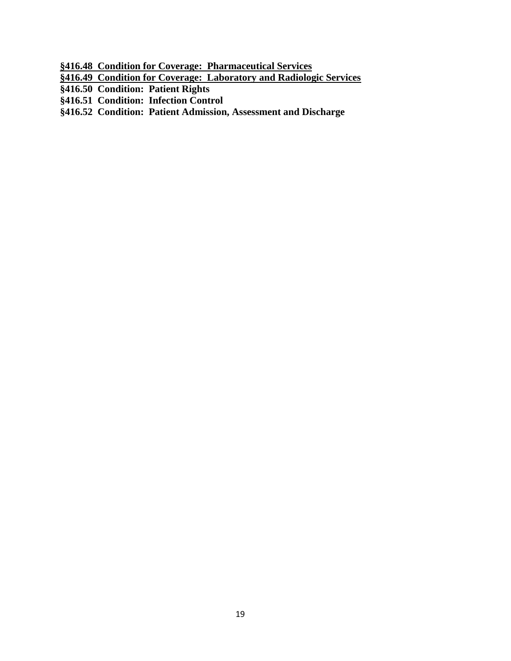- **§416.48 Condition for Coverage: Pharmaceutical Services**
- **§416.49 Condition for Coverage: Laboratory and Radiologic Services**
- **§416.50 Condition: Patient Rights**
- **§416.51 Condition: Infection Control**
- **§416.52 Condition: Patient Admission, Assessment and Discharge**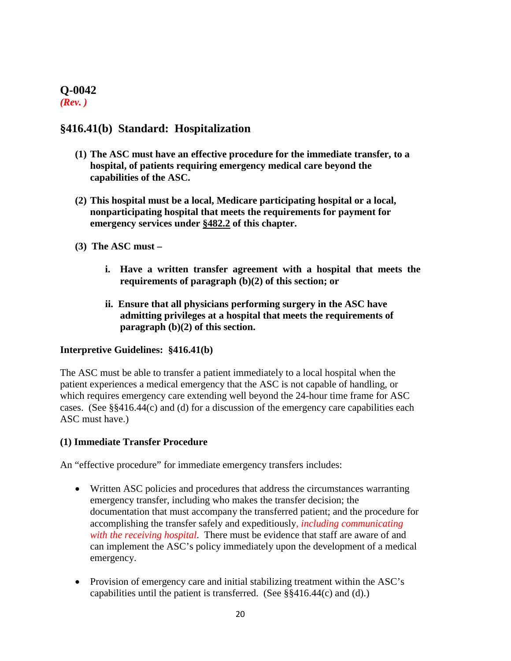## **Q-0042**

*(Rev. )*

## **§416.41(b) Standard: Hospitalization**

- **(1) The ASC must have an effective procedure for the immediate transfer, to a hospital, of patients requiring emergency medical care beyond the capabilities of the ASC.**
- **(2) This hospital must be a local, Medicare participating hospital or a local, nonparticipating hospital that meets the requirements for payment for emergency services under [§482.2](http://www.cms.hhs.gov/regulations/) of this chapter.**
- **(3) The ASC must –**
	- **i. Have a written transfer agreement with a hospital that meets the requirements of paragraph (b)(2) of this section; or**
	- **ii. Ensure that all physicians performing surgery in the ASC have admitting privileges at a hospital that meets the requirements of paragraph (b)(2) of this section.**

#### **Interpretive Guidelines: §416.41(b)**

The ASC must be able to transfer a patient immediately to a local hospital when the patient experiences a medical emergency that the ASC is not capable of handling, or which requires emergency care extending well beyond the 24-hour time frame for ASC cases. (See §§416.44(c) and (d) for a discussion of the emergency care capabilities each ASC must have.)

#### **(1) Immediate Transfer Procedure**

An "effective procedure" for immediate emergency transfers includes:

- Written ASC policies and procedures that address the circumstances warranting emergency transfer, including who makes the transfer decision; the documentation that must accompany the transferred patient; and the procedure for accomplishing the transfer safely and expeditiously*, including communicating with the receiving hospital*. There must be evidence that staff are aware of and can implement the ASC's policy immediately upon the development of a medical emergency.
- Provision of emergency care and initial stabilizing treatment within the ASC's capabilities until the patient is transferred. (See  $\S$  $\S$ 416.44(c) and (d).)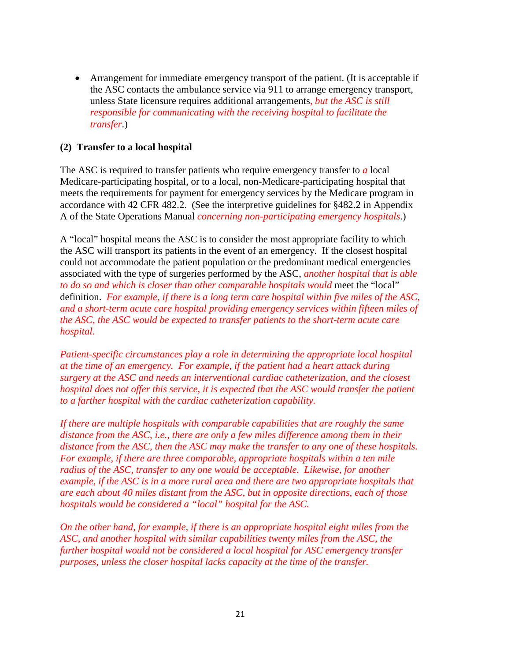• Arrangement for immediate emergency transport of the patient. (It is acceptable if the ASC contacts the ambulance service via 911 to arrange emergency transport, unless State licensure requires additional arrangements*, but the ASC is still responsible for communicating with the receiving hospital to facilitate the transfer*.)

#### **(2) Transfer to a local hospital**

The ASC is required to transfer patients who require emergency transfer to *a* local Medicare-participating hospital, or to a local, non-Medicare-participating hospital that meets the requirements for payment for emergency services by the Medicare program in accordance with 42 CFR 482.2. (See the interpretive guidelines for §482.2 in Appendix A of the State Operations Manual *concerning non-participating emergency hospitals*.)

A "local" hospital means the ASC is to consider the most appropriate facility to which the ASC will transport its patients in the event of an emergency. If the closest hospital could not accommodate the patient population or the predominant medical emergencies associated with the type of surgeries performed by the ASC, *another hospital that is able to do so and which is closer than other comparable hospitals would* meet the "local" definition. *For example, if there is a long term care hospital within five miles of the ASC, and a short-term acute care hospital providing emergency services within fifteen miles of the ASC, the ASC would be expected to transfer patients to the short-term acute care hospital.*

*Patient-specific circumstances play a role in determining the appropriate local hospital at the time of an emergency. For example, if the patient had a heart attack during surgery at the ASC and needs an interventional cardiac catheterization, and the closest hospital does not offer this service, it is expected that the ASC would transfer the patient to a farther hospital with the cardiac catheterization capability.*

*If there are multiple hospitals with comparable capabilities that are roughly the same distance from the ASC, i.e., there are only a few miles difference among them in their distance from the ASC, then the ASC may make the transfer to any one of these hospitals. For example, if there are three comparable, appropriate hospitals within a ten mile radius of the ASC, transfer to any one would be acceptable. Likewise, for another example, if the ASC is in a more rural area and there are two appropriate hospitals that are each about 40 miles distant from the ASC, but in opposite directions, each of those hospitals would be considered a "local" hospital for the ASC.* 

*On the other hand, for example, if there is an appropriate hospital eight miles from the ASC, and another hospital with similar capabilities twenty miles from the ASC, the further hospital would not be considered a local hospital for ASC emergency transfer purposes, unless the closer hospital lacks capacity at the time of the transfer.*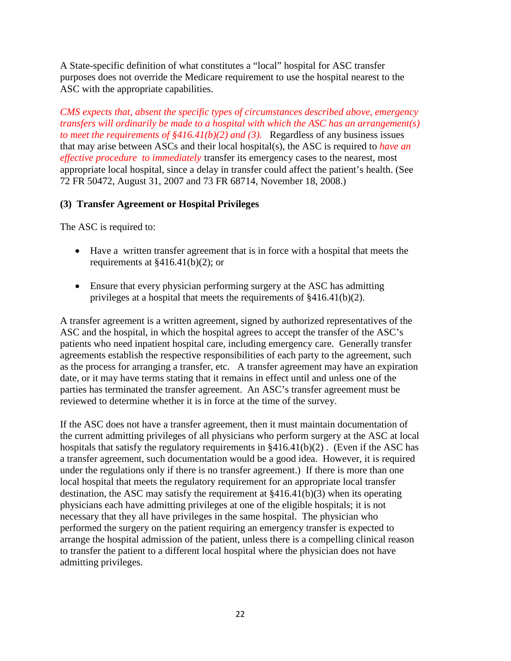A State-specific definition of what constitutes a "local" hospital for ASC transfer purposes does not override the Medicare requirement to use the hospital nearest to the ASC with the appropriate capabilities.

*CMS expects that, absent the specific types of circumstances described above, emergency transfers will ordinarily be made to a hospital with which the ASC has an arrangement(s) to meet the requirements of §416.41(b)(2) and (3).* Regardless of any business issues that may arise between ASCs and their local hospital(s), the ASC is required to *have an effective procedure to immediately* transfer its emergency cases to the nearest, most appropriate local hospital, since a delay in transfer could affect the patient's health. (See 72 FR 50472, August 31, 2007 and 73 FR 68714, November 18, 2008.)

#### **(3) Transfer Agreement or Hospital Privileges**

The ASC is required to:

- Have a written transfer agreement that is in force with a hospital that meets the requirements at §416.41(b)(2); or
- Ensure that every physician performing surgery at the ASC has admitting privileges at a hospital that meets the requirements of §416.41(b)(2).

A transfer agreement is a written agreement, signed by authorized representatives of the ASC and the hospital, in which the hospital agrees to accept the transfer of the ASC's patients who need inpatient hospital care, including emergency care. Generally transfer agreements establish the respective responsibilities of each party to the agreement, such as the process for arranging a transfer, etc. A transfer agreement may have an expiration date, or it may have terms stating that it remains in effect until and unless one of the parties has terminated the transfer agreement. An ASC's transfer agreement must be reviewed to determine whether it is in force at the time of the survey.

If the ASC does not have a transfer agreement, then it must maintain documentation of the current admitting privileges of all physicians who perform surgery at the ASC at local hospitals that satisfy the regulatory requirements in §416.41(b)(2) . (Even if the ASC has a transfer agreement, such documentation would be a good idea. However, it is required under the regulations only if there is no transfer agreement.) If there is more than one local hospital that meets the regulatory requirement for an appropriate local transfer destination, the ASC may satisfy the requirement at §416.41(b)(3) when its operating physicians each have admitting privileges at one of the eligible hospitals; it is not necessary that they all have privileges in the same hospital. The physician who performed the surgery on the patient requiring an emergency transfer is expected to arrange the hospital admission of the patient, unless there is a compelling clinical reason to transfer the patient to a different local hospital where the physician does not have admitting privileges.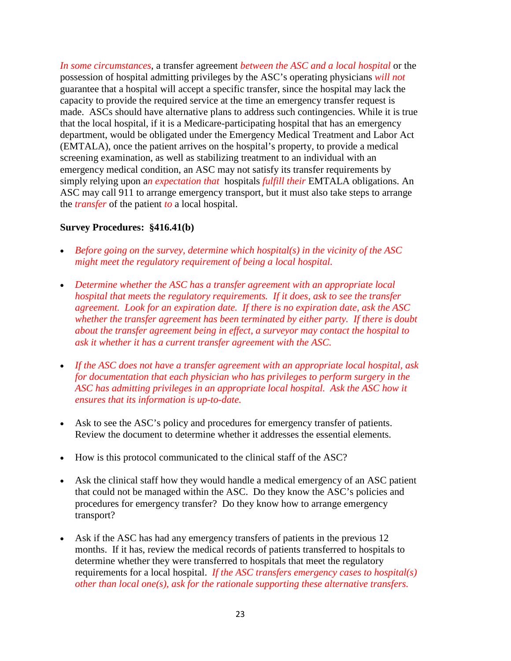*In some circumstances*, a transfer agreement *between the ASC and a local hospital* or the possession of hospital admitting privileges by the ASC's operating physicians *will not* guarantee that a hospital will accept a specific transfer, since the hospital may lack the capacity to provide the required service at the time an emergency transfer request is made. ASCs should have alternative plans to address such contingencies. While it is true that the local hospital, if it is a Medicare-participating hospital that has an emergency department, would be obligated under the Emergency Medical Treatment and Labor Act (EMTALA), once the patient arrives on the hospital's property, to provide a medical screening examination, as well as stabilizing treatment to an individual with an emergency medical condition, an ASC may not satisfy its transfer requirements by simply relying upon a*n expectation that* hospitals *fulfill their* EMTALA obligations. An ASC may call 911 to arrange emergency transport, but it must also take steps to arrange the *transfer* of the patient *to* a local hospital.

#### **Survey Procedures: §416.41(b)**

- *Before going on the survey, determine which hospital(s) in the vicinity of the ASC might meet the regulatory requirement of being a local hospital.*
- *Determine whether the ASC has a transfer agreement with an appropriate local hospital that meets the regulatory requirements. If it does, ask to see the transfer agreement. Look for an expiration date. If there is no expiration date, ask the ASC whether the transfer agreement has been terminated by either party. If there is doubt about the transfer agreement being in effect, a surveyor may contact the hospital to ask it whether it has a current transfer agreement with the ASC.*
- *If the ASC does not have a transfer agreement with an appropriate local hospital, ask for documentation that each physician who has privileges to perform surgery in the ASC has admitting privileges in an appropriate local hospital. Ask the ASC how it ensures that its information is up-to-date.*
- Ask to see the ASC's policy and procedures for emergency transfer of patients. Review the document to determine whether it addresses the essential elements.
- How is this protocol communicated to the clinical staff of the ASC?
- Ask the clinical staff how they would handle a medical emergency of an ASC patient that could not be managed within the ASC. Do they know the ASC's policies and procedures for emergency transfer? Do they know how to arrange emergency transport?
- Ask if the ASC has had any emergency transfers of patients in the previous 12 months. If it has, review the medical records of patients transferred to hospitals to determine whether they were transferred to hospitals that meet the regulatory requirements for a local hospital. *If the ASC transfers emergency cases to hospital(s) other than local one(s), ask for the rationale supporting these alternative transfers.*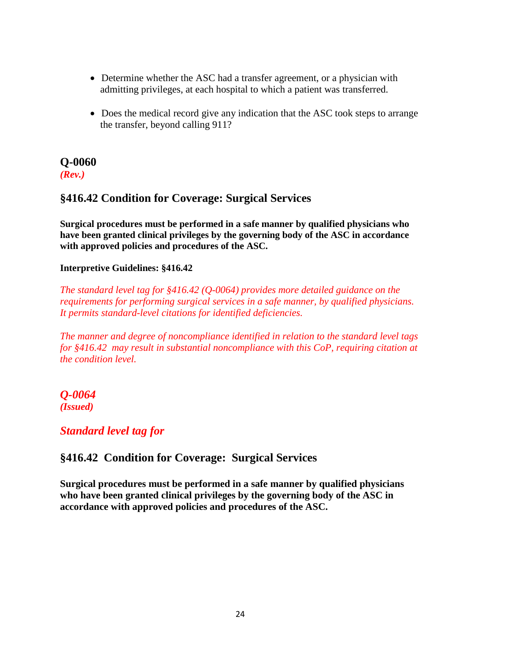- Determine whether the ASC had a transfer agreement, or a physician with admitting privileges, at each hospital to which a patient was transferred.
- Does the medical record give any indication that the ASC took steps to arrange the transfer, beyond calling 911?

# **Q-0060**

*(Rev.)*

## **§416.42 Condition for Coverage: Surgical Services**

**Surgical procedures must be performed in a safe manner by qualified physicians who have been granted clinical privileges by the governing body of the ASC in accordance with approved policies and procedures of the ASC.** 

#### **Interpretive Guidelines: §416.42**

*The standard level tag for §416.42 (Q-0064) provides more detailed guidance on the requirements for performing surgical services in a safe manner, by qualified physicians. It permits standard-level citations for identified deficiencies.* 

*The manner and degree of noncompliance identified in relation to the standard level tags for §416.42 may result in substantial noncompliance with this CoP, requiring citation at the condition level.*

#### *Q-0064 (Issued)*

### *Standard level tag for*

## **§416.42 Condition for Coverage: Surgical Services**

**Surgical procedures must be performed in a safe manner by qualified physicians who have been granted clinical privileges by the governing body of the ASC in accordance with approved policies and procedures of the ASC.**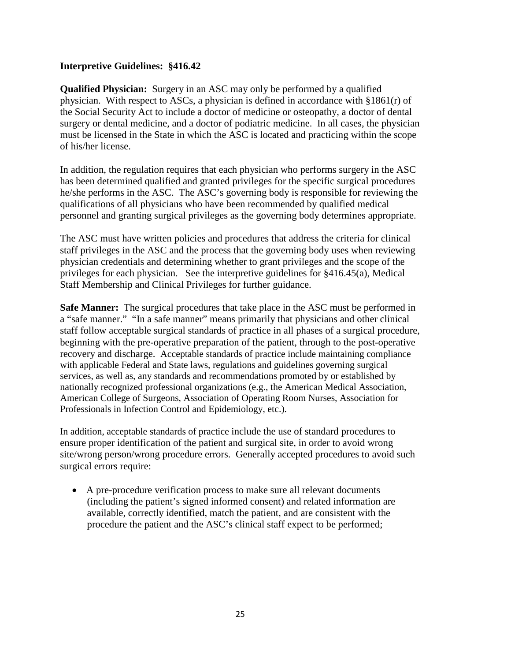#### **Interpretive Guidelines: §416.42**

**Qualified Physician:** Surgery in an ASC may only be performed by a qualified physician. With respect to ASCs, a physician is defined in accordance with  $\S 1861(r)$  of the Social Security Act to include a doctor of medicine or osteopathy, a doctor of dental surgery or dental medicine, and a doctor of podiatric medicine. In all cases, the physician must be licensed in the State in which the ASC is located and practicing within the scope of his/her license.

In addition, the regulation requires that each physician who performs surgery in the ASC has been determined qualified and granted privileges for the specific surgical procedures he/she performs in the ASC. The ASC's governing body is responsible for reviewing the qualifications of all physicians who have been recommended by qualified medical personnel and granting surgical privileges as the governing body determines appropriate.

The ASC must have written policies and procedures that address the criteria for clinical staff privileges in the ASC and the process that the governing body uses when reviewing physician credentials and determining whether to grant privileges and the scope of the privileges for each physician. See the interpretive guidelines for §416.45(a), Medical Staff Membership and Clinical Privileges for further guidance.

**Safe Manner:** The surgical procedures that take place in the ASC must be performed in a "safe manner." "In a safe manner" means primarily that physicians and other clinical staff follow acceptable surgical standards of practice in all phases of a surgical procedure, beginning with the pre-operative preparation of the patient, through to the post-operative recovery and discharge. Acceptable standards of practice include maintaining compliance with applicable Federal and State laws, regulations and guidelines governing surgical services, as well as, any standards and recommendations promoted by or established by nationally recognized professional organizations (e.g., the American Medical Association, American College of Surgeons, Association of Operating Room Nurses, Association for Professionals in Infection Control and Epidemiology, etc.).

In addition, acceptable standards of practice include the use of standard procedures to ensure proper identification of the patient and surgical site, in order to avoid wrong site/wrong person/wrong procedure errors. Generally accepted procedures to avoid such surgical errors require:

• A pre-procedure verification process to make sure all relevant documents (including the patient's signed informed consent) and related information are available, correctly identified, match the patient, and are consistent with the procedure the patient and the ASC's clinical staff expect to be performed;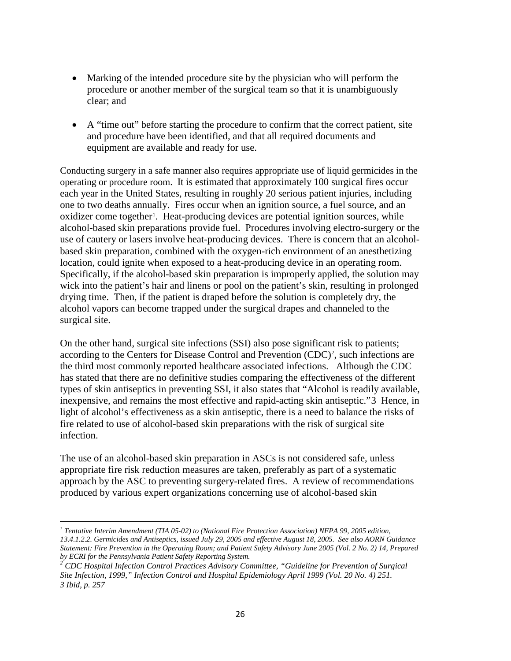- Marking of the intended procedure site by the physician who will perform the procedure or another member of the surgical team so that it is unambiguously clear; and
- A "time out" before starting the procedure to confirm that the correct patient, site and procedure have been identified, and that all required documents and equipment are available and ready for use.

Conducting surgery in a safe manner also requires appropriate use of liquid germicides in the operating or procedure room. It is estimated that approximately 100 surgical fires occur each year in the United States, resulting in roughly 20 serious patient injuries, including one to two deaths annually. Fires occur when an ignition source, a fuel source, and an oxidizer come together<sup>[1](#page-30-0)</sup>. Heat-producing devices are potential ignition sources, while alcohol-based skin preparations provide fuel. Procedures involving electro-surgery or the use of cautery or lasers involve heat-producing devices. There is concern that an alcoholbased skin preparation, combined with the oxygen-rich environment of an anesthetizing location, could ignite when exposed to a heat-producing device in an operating room. Specifically, if the alcohol-based skin preparation is improperly applied, the solution may wick into the patient's hair and linens or pool on the patient's skin, resulting in prolonged drying time. Then, if the patient is draped before the solution is completely dry, the alcohol vapors can become trapped under the surgical drapes and channeled to the surgical site.

On the other hand, surgical site infections (SSI) also pose significant risk to patients; according to the Centers for Disease Control and Prevention  $(CDC)^2$  $(CDC)^2$ , such infections are the third most commonly reported healthcare associated infections. Although the CDC has stated that there are no definitive studies comparing the effectiveness of the different types of skin antiseptics in preventing SSI, it also states that "Alcohol is readily available, inexpensive, and remains the most effective and rapid-acting skin antiseptic."[3](#page-30-2) Hence, in light of alcohol's effectiveness as a skin antiseptic, there is a need to balance the risks of fire related to use of alcohol-based skin preparations with the risk of surgical site infection.

The use of an alcohol-based skin preparation in ASCs is not considered safe, unless appropriate fire risk reduction measures are taken, preferably as part of a systematic approach by the ASC to preventing surgery-related fires. A review of recommendations produced by various expert organizations concerning use of alcohol-based skin

<span id="page-30-0"></span> $\overline{\phantom{a}}$ *<sup>1</sup> Tentative Interim Amendment (TIA 05-02) to (National Fire Protection Association) NFPA 99, 2005 edition, 13.4.1.2.2. Germicides and Antiseptics, issued July 29, 2005 and effective August 18, 2005. See also AORN Guidance Statement: Fire Prevention in the Operating Room; and Patient Safety Advisory June 2005 (Vol. 2 No. 2) 14, Prepared* 

<span id="page-30-2"></span><span id="page-30-1"></span><sup>&</sup>lt;sup>2</sup> CDC Hospital Infection Control Practices Advisory Committee, "Guideline for Prevention of Surgical *Site Infection, 1999," Infection Control and Hospital Epidemiology April 1999 (Vol. 20 No. 4) 251. 3 Ibid, p. 257*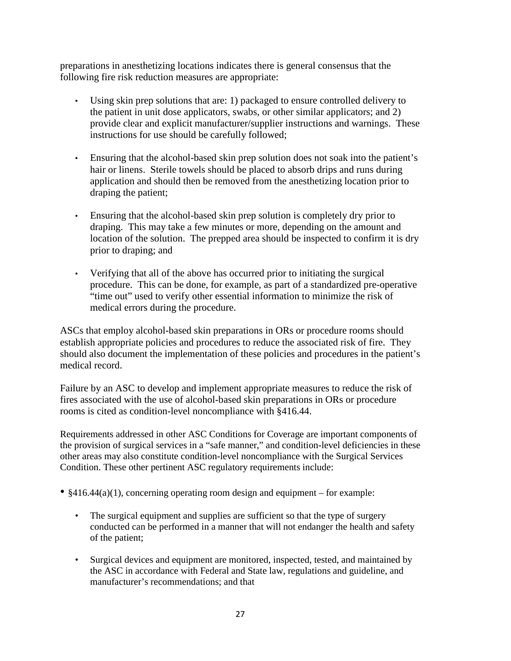preparations in anesthetizing locations indicates there is general consensus that the following fire risk reduction measures are appropriate:

- Using skin prep solutions that are: 1) packaged to ensure controlled delivery to the patient in unit dose applicators, swabs, or other similar applicators; and 2) provide clear and explicit manufacturer/supplier instructions and warnings. These instructions for use should be carefully followed;
- Ensuring that the alcohol-based skin prep solution does not soak into the patient's hair or linens. Sterile towels should be placed to absorb drips and runs during application and should then be removed from the anesthetizing location prior to draping the patient;
- Ensuring that the alcohol-based skin prep solution is completely dry prior to draping. This may take a few minutes or more, depending on the amount and location of the solution. The prepped area should be inspected to confirm it is dry prior to draping; and
- Verifying that all of the above has occurred prior to initiating the surgical procedure. This can be done, for example, as part of a standardized pre-operative "time out" used to verify other essential information to minimize the risk of medical errors during the procedure.

ASCs that employ alcohol-based skin preparations in ORs or procedure rooms should establish appropriate policies and procedures to reduce the associated risk of fire. They should also document the implementation of these policies and procedures in the patient's medical record.

Failure by an ASC to develop and implement appropriate measures to reduce the risk of fires associated with the use of alcohol-based skin preparations in ORs or procedure rooms is cited as condition-level noncompliance with §416.44.

Requirements addressed in other ASC Conditions for Coverage are important components of the provision of surgical services in a "safe manner," and condition-level deficiencies in these other areas may also constitute condition-level noncompliance with the Surgical Services Condition. These other pertinent ASC regulatory requirements include:

- $§416.44(a)(1)$ , concerning operating room design and equipment for example:
	- The surgical equipment and supplies are sufficient so that the type of surgery conducted can be performed in a manner that will not endanger the health and safety of the patient;
	- Surgical devices and equipment are monitored, inspected, tested, and maintained by the ASC in accordance with Federal and State law, regulations and guideline, and manufacturer's recommendations; and that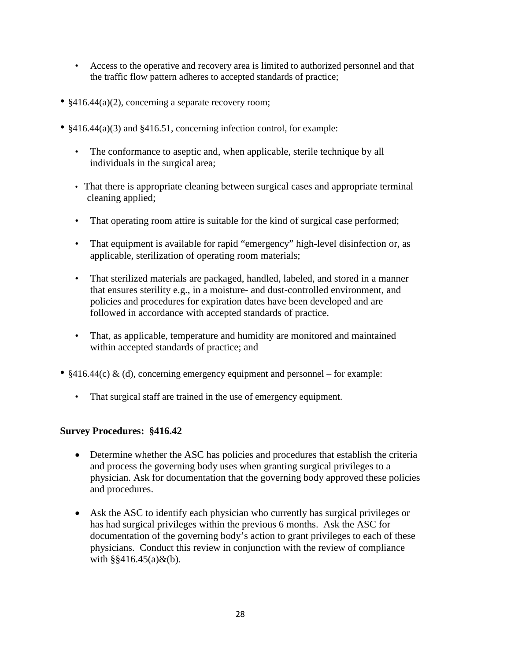- Access to the operative and recovery area is limited to authorized personnel and that the traffic flow pattern adheres to accepted standards of practice;
- §416.44(a)(2), concerning a separate recovery room;
- §416.44(a)(3) and §416.51, concerning infection control, for example:
	- The conformance to aseptic and, when applicable, sterile technique by all individuals in the surgical area;
	- That there is appropriate cleaning between surgical cases and appropriate terminal cleaning applied;
	- That operating room attire is suitable for the kind of surgical case performed;
	- That equipment is available for rapid "emergency" high-level disinfection or, as applicable, sterilization of operating room materials;
	- That sterilized materials are packaged, handled, labeled, and stored in a manner that ensures sterility e.g., in a moisture- and dust-controlled environment, and policies and procedures for expiration dates have been developed and are followed in accordance with accepted standards of practice.
	- That, as applicable, temperature and humidity are monitored and maintained within accepted standards of practice; and
- $§416.44(c) \& (d)$ , concerning emergency equipment and personnel for example:
	- That surgical staff are trained in the use of emergency equipment.

#### **Survey Procedures: §416.42**

- Determine whether the ASC has policies and procedures that establish the criteria and process the governing body uses when granting surgical privileges to a physician. Ask for documentation that the governing body approved these policies and procedures.
- Ask the ASC to identify each physician who currently has surgical privileges or has had surgical privileges within the previous 6 months. Ask the ASC for documentation of the governing body's action to grant privileges to each of these physicians. Conduct this review in conjunction with the review of compliance with  $\S$ §416.45(a)&(b).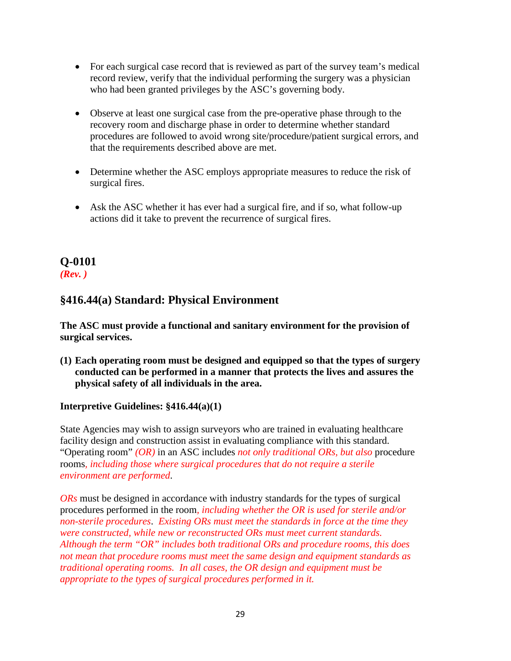- For each surgical case record that is reviewed as part of the survey team's medical record review, verify that the individual performing the surgery was a physician who had been granted privileges by the ASC's governing body.
- Observe at least one surgical case from the pre-operative phase through to the recovery room and discharge phase in order to determine whether standard procedures are followed to avoid wrong site/procedure/patient surgical errors, and that the requirements described above are met.
- Determine whether the ASC employs appropriate measures to reduce the risk of surgical fires.
- Ask the ASC whether it has ever had a surgical fire, and if so, what follow-up actions did it take to prevent the recurrence of surgical fires.

## **Q-0101** *(Rev. )*

## **§416.44(a) Standard: Physical Environment**

**The ASC must provide a functional and sanitary environment for the provision of surgical services.**

**(1) Each operating room must be designed and equipped so that the types of surgery conducted can be performed in a manner that protects the lives and assures the physical safety of all individuals in the area.**

#### **Interpretive Guidelines: §416.44(a)(1)**

State Agencies may wish to assign surveyors who are trained in evaluating healthcare facility design and construction assist in evaluating compliance with this standard. "Operating room" *(OR)* in an ASC includes *not only traditional ORs, but also* procedure rooms*, including those where surgical procedures that do not require a sterile environment are performed*.

*ORs* must be designed in accordance with industry standards for the types of surgical procedures performed in the room*, including whether the OR is used for sterile and/or non-sterile procedures*. *Existing ORs must meet the standards in force at the time they were constructed, while new or reconstructed ORs must meet current standards. Although the term "OR" includes both traditional ORs and procedure rooms, this does not mean that procedure rooms must meet the same design and equipment standards as traditional operating rooms. In all cases, the OR design and equipment must be appropriate to the types of surgical procedures performed in it.*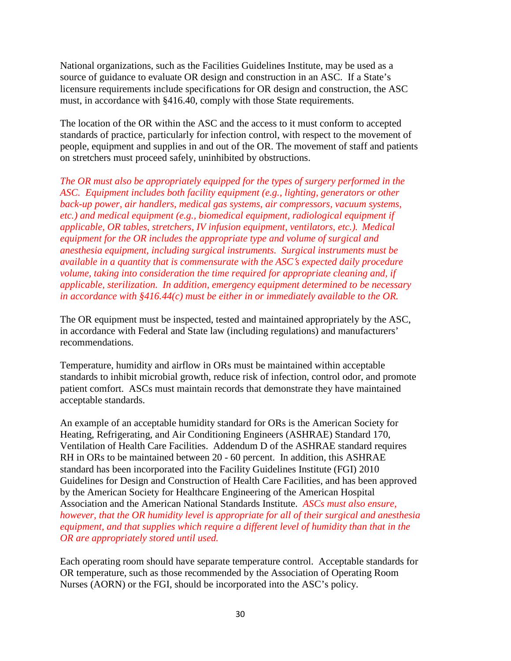National organizations, such as the Facilities Guidelines Institute, may be used as a source of guidance to evaluate OR design and construction in an ASC. If a State's licensure requirements include specifications for OR design and construction, the ASC must, in accordance with §416.40, comply with those State requirements.

The location of the OR within the ASC and the access to it must conform to accepted standards of practice, particularly for infection control, with respect to the movement of people, equipment and supplies in and out of the OR. The movement of staff and patients on stretchers must proceed safely, uninhibited by obstructions.

*The OR must also be appropriately equipped for the types of surgery performed in the ASC. Equipment includes both facility equipment (e.g., lighting, generators or other back-up power, air handlers, medical gas systems, air compressors, vacuum systems, etc.) and medical equipment (e.g., biomedical equipment, radiological equipment if applicable, OR tables, stretchers, IV infusion equipment, ventilators, etc.). Medical equipment for the OR includes the appropriate type and volume of surgical and anesthesia equipment, including surgical instruments. Surgical instruments must be available in a quantity that is commensurate with the ASC*'*s expected daily procedure volume, taking into consideration the time required for appropriate cleaning and, if applicable, sterilization. In addition, emergency equipment determined to be necessary in accordance with §416.44(c) must be either in or immediately available to the OR.* 

The OR equipment must be inspected, tested and maintained appropriately by the ASC, in accordance with Federal and State law (including regulations) and manufacturers' recommendations.

Temperature, humidity and airflow in ORs must be maintained within acceptable standards to inhibit microbial growth, reduce risk of infection, control odor, and promote patient comfort. ASCs must maintain records that demonstrate they have maintained acceptable standards.

An example of an acceptable humidity standard for ORs is the American Society for Heating, Refrigerating, and Air Conditioning Engineers (ASHRAE) Standard 170, Ventilation of Health Care Facilities. Addendum D of the ASHRAE standard requires RH in ORs to be maintained between 20 - 60 percent. In addition, this ASHRAE standard has been incorporated into the Facility Guidelines Institute (FGI) 2010 Guidelines for Design and Construction of Health Care Facilities, and has been approved by the American Society for Healthcare Engineering of the American Hospital Association and the American National Standards Institute. *ASCs must also ensure, however, that the OR humidity level is appropriate for all of their surgical and anesthesia equipment, and that supplies which require a different level of humidity than that in the OR are appropriately stored until used.*

Each operating room should have separate temperature control. Acceptable standards for OR temperature, such as those recommended by the Association of Operating Room Nurses (AORN) or the FGI, should be incorporated into the ASC's policy.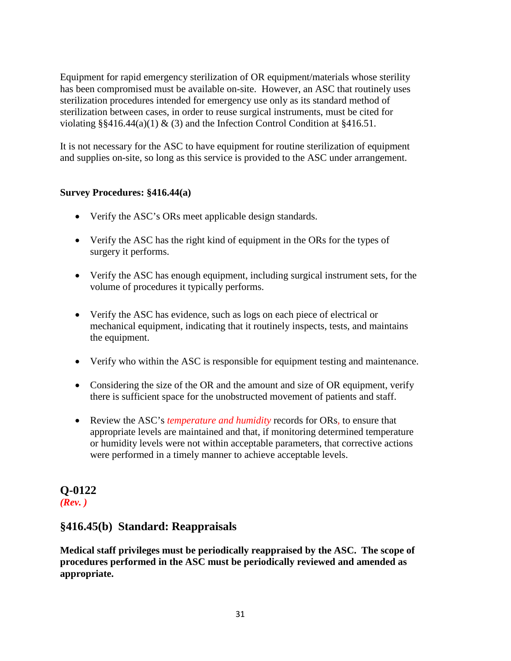Equipment for rapid emergency sterilization of OR equipment/materials whose sterility has been compromised must be available on-site. However, an ASC that routinely uses sterilization procedures intended for emergency use only as its standard method of sterilization between cases, in order to reuse surgical instruments, must be cited for violating  $\S$ §416.44(a)(1) & (3) and the Infection Control Condition at §416.51.

It is not necessary for the ASC to have equipment for routine sterilization of equipment and supplies on-site, so long as this service is provided to the ASC under arrangement.

#### **Survey Procedures: §416.44(a)**

- Verify the ASC's ORs meet applicable design standards.
- Verify the ASC has the right kind of equipment in the ORs for the types of surgery it performs.
- Verify the ASC has enough equipment, including surgical instrument sets, for the volume of procedures it typically performs.
- Verify the ASC has evidence, such as logs on each piece of electrical or mechanical equipment, indicating that it routinely inspects, tests, and maintains the equipment.
- Verify who within the ASC is responsible for equipment testing and maintenance.
- Considering the size of the OR and the amount and size of OR equipment, verify there is sufficient space for the unobstructed movement of patients and staff.
- Review the ASC's *temperature and humidity* records for ORs*,* to ensure that appropriate levels are maintained and that, if monitoring determined temperature or humidity levels were not within acceptable parameters, that corrective actions were performed in a timely manner to achieve acceptable levels.

### **Q-0122** *(Rev. )*

## **§416.45(b) Standard: Reappraisals**

**Medical staff privileges must be periodically reappraised by the ASC. The scope of procedures performed in the ASC must be periodically reviewed and amended as appropriate.**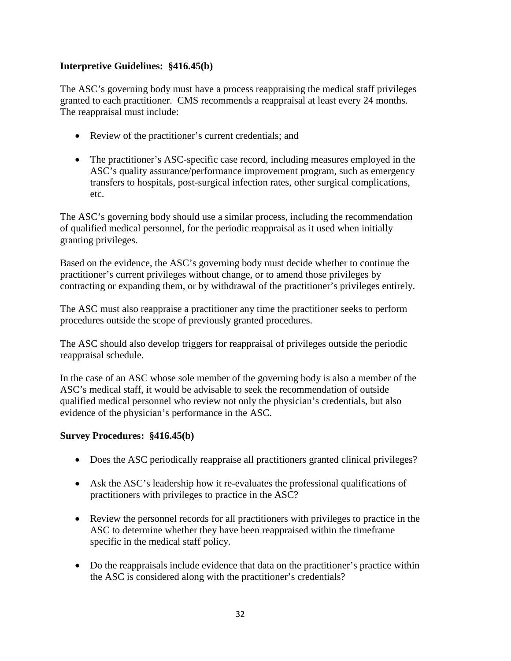#### **Interpretive Guidelines: §416.45(b)**

The ASC's governing body must have a process reappraising the medical staff privileges granted to each practitioner. CMS recommends a reappraisal at least every 24 months. The reappraisal must include:

- Review of the practitioner's current credentials; and
- The practitioner's ASC-specific case record, including measures employed in the ASC's quality assurance/performance improvement program, such as emergency transfers to hospitals, post-surgical infection rates, other surgical complications, etc.

The ASC's governing body should use a similar process, including the recommendation of qualified medical personnel, for the periodic reappraisal as it used when initially granting privileges.

Based on the evidence, the ASC's governing body must decide whether to continue the practitioner's current privileges without change, or to amend those privileges by contracting or expanding them, or by withdrawal of the practitioner's privileges entirely.

The ASC must also reappraise a practitioner any time the practitioner seeks to perform procedures outside the scope of previously granted procedures.

The ASC should also develop triggers for reappraisal of privileges outside the periodic reappraisal schedule.

In the case of an ASC whose sole member of the governing body is also a member of the ASC's medical staff, it would be advisable to seek the recommendation of outside qualified medical personnel who review not only the physician's credentials, but also evidence of the physician's performance in the ASC.

#### **Survey Procedures: §416.45(b)**

- Does the ASC periodically reappraise all practitioners granted clinical privileges?
- Ask the ASC's leadership how it re-evaluates the professional qualifications of practitioners with privileges to practice in the ASC?
- Review the personnel records for all practitioners with privileges to practice in the ASC to determine whether they have been reappraised within the timeframe specific in the medical staff policy.
- Do the reappraisals include evidence that data on the practitioner's practice within the ASC is considered along with the practitioner's credentials?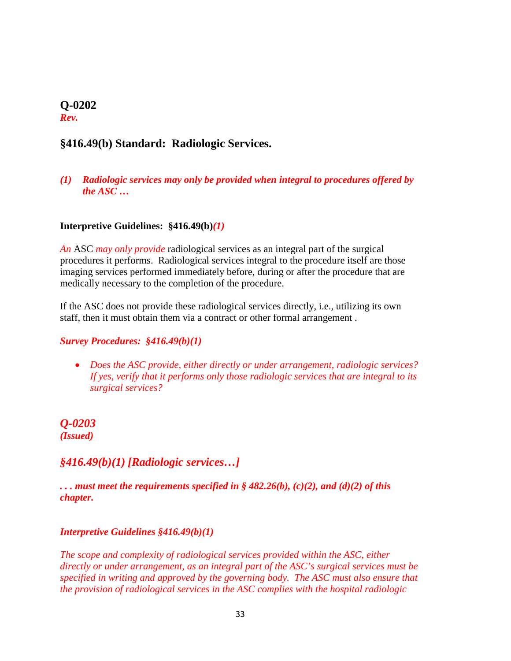#### **Q-0202** *Rev.*

## **§416.49(b) Standard: Radiologic Services.**

#### *(1) Radiologic services may only be provided when integral to procedures offered by the ASC …*

#### **Interpretive Guidelines: §416.49(b)***(1)*

*An* ASC *may only provide* radiological services as an integral part of the surgical procedures it performs. Radiological services integral to the procedure itself are those imaging services performed immediately before, during or after the procedure that are medically necessary to the completion of the procedure.

If the ASC does not provide these radiological services directly, i.e., utilizing its own staff, then it must obtain them via a contract or other formal arrangement .

#### *Survey Procedures: §416.49(b)(1)*

• *Does the ASC provide, either directly or under arrangement, radiologic services? If yes, verify that it performs only those radiologic services that are integral to its surgical services?* 

<span id="page-37-0"></span>*Q-0203 (Issued)*

#### *§416.49(b)(1) [Radiologic services…]*

*. . . must meet the requirements specified in § 482.26(b), (c)(2), and (d)(2) of this chapter.*

#### *Interpretive Guidelines §416.49(b)(1)*

*The scope and complexity of radiological services provided within the ASC, either directly or under arrangement, as an integral part of the ASC's surgical services must be specified in writing and approved by the governing body. The ASC must also ensure that the provision of radiological services in the ASC complies with the hospital radiologic*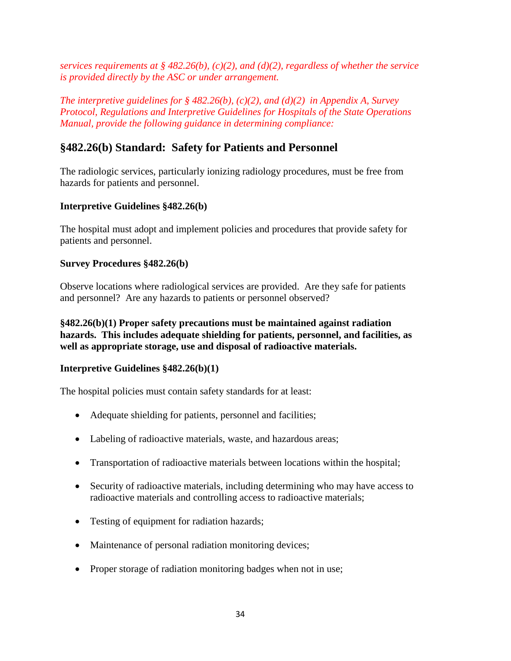*services requirements at § 482.26(b), (c)(2), and (d)(2), regardless of whether the service is provided directly by the ASC or under arrangement.* 

*The interpretive guidelines for § 482.26(b), (c)(2), and (d)(2) in Appendix A, Survey Protocol, Regulations and Interpretive Guidelines for Hospitals of the State Operations Manual, provide the following guidance in determining compliance:*

### **§482.26(b) Standard: Safety for Patients and Personnel**

The radiologic services, particularly ionizing radiology procedures, must be free from hazards for patients and personnel.

#### **Interpretive Guidelines §482.26(b)**

The hospital must adopt and implement policies and procedures that provide safety for patients and personnel.

#### **Survey Procedures §482.26(b)**

Observe locations where radiological services are provided. Are they safe for patients and personnel? Are any hazards to patients or personnel observed?

**§482.26(b)(1) Proper safety precautions must be maintained against radiation hazards. This includes adequate shielding for patients, personnel, and facilities, as well as appropriate storage, use and disposal of radioactive materials.**

#### **Interpretive Guidelines §482.26(b)(1)**

The hospital policies must contain safety standards for at least:

- Adequate shielding for patients, personnel and facilities;
- Labeling of radioactive materials, waste, and hazardous areas;
- Transportation of radioactive materials between locations within the hospital;
- Security of radioactive materials, including determining who may have access to radioactive materials and controlling access to radioactive materials;
- Testing of equipment for radiation hazards;
- Maintenance of personal radiation monitoring devices;
- Proper storage of radiation monitoring badges when not in use;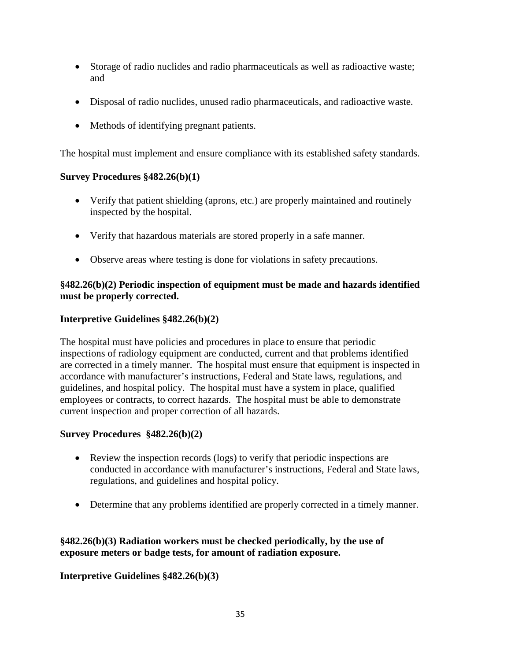- Storage of radio nuclides and radio pharmaceuticals as well as radioactive waste; and
- Disposal of radio nuclides, unused radio pharmaceuticals, and radioactive waste.
- Methods of identifying pregnant patients.

The hospital must implement and ensure compliance with its established safety standards.

#### **Survey Procedures §482.26(b)(1)**

- Verify that patient shielding (aprons, etc.) are properly maintained and routinely inspected by the hospital.
- Verify that hazardous materials are stored properly in a safe manner.
- Observe areas where testing is done for violations in safety precautions.

#### **§482.26(b)(2) Periodic inspection of equipment must be made and hazards identified must be properly corrected.**

#### **Interpretive Guidelines §482.26(b)(2)**

The hospital must have policies and procedures in place to ensure that periodic inspections of radiology equipment are conducted, current and that problems identified are corrected in a timely manner. The hospital must ensure that equipment is inspected in accordance with manufacturer's instructions, Federal and State laws, regulations, and guidelines, and hospital policy. The hospital must have a system in place, qualified employees or contracts, to correct hazards. The hospital must be able to demonstrate current inspection and proper correction of all hazards.

#### **Survey Procedures §482.26(b)(2)**

- Review the inspection records (logs) to verify that periodic inspections are conducted in accordance with manufacturer's instructions, Federal and State laws, regulations, and guidelines and hospital policy.
- Determine that any problems identified are properly corrected in a timely manner.

#### **§482.26(b)(3) Radiation workers must be checked periodically, by the use of exposure meters or badge tests, for amount of radiation exposure.**

#### **Interpretive Guidelines §482.26(b)(3)**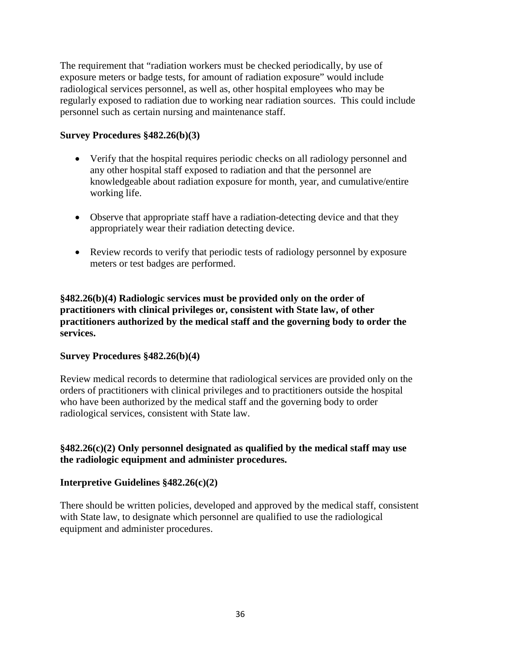The requirement that "radiation workers must be checked periodically, by use of exposure meters or badge tests, for amount of radiation exposure" would include radiological services personnel, as well as, other hospital employees who may be regularly exposed to radiation due to working near radiation sources. This could include personnel such as certain nursing and maintenance staff.

#### **Survey Procedures §482.26(b)(3)**

- Verify that the hospital requires periodic checks on all radiology personnel and any other hospital staff exposed to radiation and that the personnel are knowledgeable about radiation exposure for month, year, and cumulative/entire working life.
- Observe that appropriate staff have a radiation-detecting device and that they appropriately wear their radiation detecting device.
- Review records to verify that periodic tests of radiology personnel by exposure meters or test badges are performed.

**§482.26(b)(4) Radiologic services must be provided only on the order of practitioners with clinical privileges or, consistent with State law, of other practitioners authorized by the medical staff and the governing body to order the services.**

#### **Survey Procedures §482.26(b)(4)**

Review medical records to determine that radiological services are provided only on the orders of practitioners with clinical privileges and to practitioners outside the hospital who have been authorized by the medical staff and the governing body to order radiological services, consistent with State law.

#### **§482.26(c)(2) Only personnel designated as qualified by the medical staff may use the radiologic equipment and administer procedures.**

#### **Interpretive Guidelines §482.26(c)(2)**

There should be written policies, developed and approved by the medical staff, consistent with State law, to designate which personnel are qualified to use the radiological equipment and administer procedures.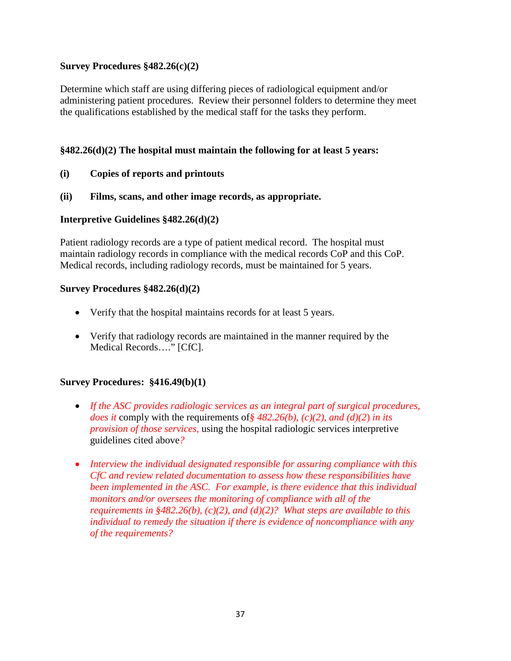#### **Survey Procedures §482.26(c)(2)**

Determine which staff are using differing pieces of radiological equipment and/or administering patient procedures. Review their personnel folders to determine they meet the qualifications established by the medical staff for the tasks they perform.

#### **§482.26(d)(2) The hospital must maintain the following for at least 5 years:**

#### **(i) Copies of reports and printouts**

#### **(ii) Films, scans, and other image records, as appropriate.**

#### **Interpretive Guidelines §482.26(d)(2)**

Patient radiology records are a type of patient medical record. The hospital must maintain radiology records in compliance with the medical records CoP and this CoP. Medical records, including radiology records, must be maintained for 5 years.

#### **Survey Procedures §482.26(d)(2)**

- Verify that the hospital maintains records for at least 5 years.
- Verify that radiology records are maintained in the manner required by the Medical Records…." [CfC].

#### **Survey Procedures: §416.49(b)(1)**

- *If the ASC provides radiologic services as an integral part of surgical procedures, does it* comply with the requirements of*§ 482.26(b), (c)(2), and (d)(2*) *in its provision of those services,* using the hospital radiologic services interpretive guidelines cited above*?*
- *Interview the individual designated responsible for assuring compliance with this CfC and review related documentation to assess how these responsibilities have been implemented in the ASC. For example, is there evidence that this individual monitors and/or oversees the monitoring of compliance with all of the requirements in §482.26(b), (c)(2), and (d)(2)? What steps are available to this individual to remedy the situation if there is evidence of noncompliance with any of the requirements?*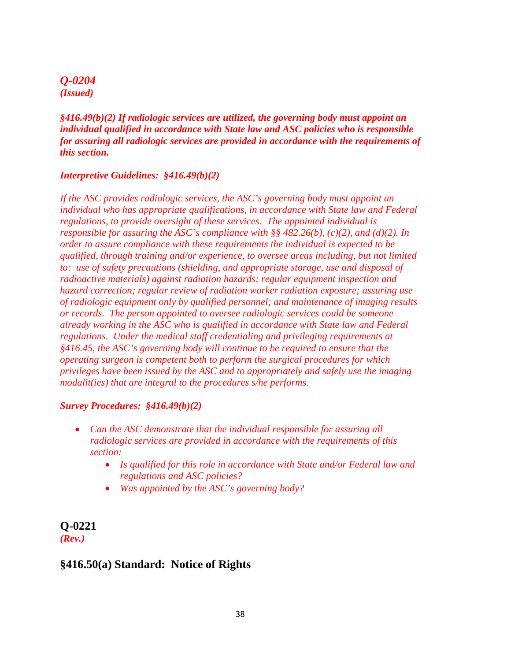#### *Q-0204 (Issued)*

*§416.49(b)(2) If radiologic services are utilized, the governing body must appoint an individual qualified in accordance with State law and ASC policies who is responsible for assuring all radiologic services are provided in accordance with the requirements of this section.*

#### *Interpretive Guidelines: §416.49(b)(2)*

*If the ASC provides radiologic services, the ASC's governing body must appoint an individual who has appropriate qualifications, in accordance with State law and Federal regulations, to provide oversight of these services. The appointed individual is responsible for assuring the ASC's compliance with §§ 482.26(b), (c)(2), and (d)(2). In order to assure compliance with these requirements the individual is expected to be qualified, through training and/or experience, to oversee areas including, but not limited to: use of safety precautions (shielding, and appropriate storage, use and disposal of radioactive materials) against radiation hazards; regular equipment inspection and hazard correction; regular review of radiation worker radiation exposure; assuring use of radiologic equipment only by qualified personnel; and maintenance of imaging results or records. The person appointed to oversee radiologic services could be someone already working in the ASC who is qualified in accordance with State law and Federal regulations. Under the medical staff credentialing and privileging requirements at §416.45, the ASC's governing body will continue to be required to ensure that the operating surgeon is competent both to perform the surgical procedures for which privileges have been issued by the ASC and to appropriately and safely use the imaging modalit(ies) that are integral to the procedures s/he performs.* 

#### *Survey Procedures: §416.49(b)(2)*

- *Can the ASC demonstrate that the individual responsible for assuring all radiologic services are provided in accordance with the requirements of this section:*
	- *Is qualified for this role in accordance with State and/or Federal law and regulations and ASC policies?*
	- *Was appointed by the ASC's governing body?*

#### **Q-0221** *(Rev.)*

#### **§416.50(a) Standard: Notice of Rights**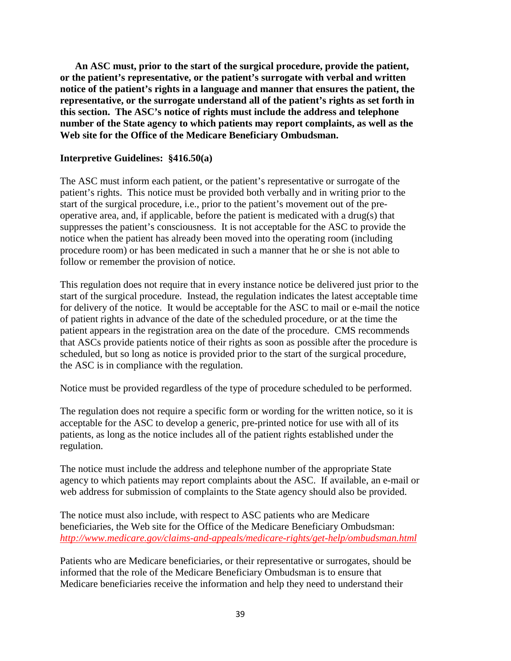**An ASC must, prior to the start of the surgical procedure, provide the patient, or the patient's representative, or the patient's surrogate with verbal and written notice of the patient's rights in a language and manner that ensures the patient, the representative, or the surrogate understand all of the patient's rights as set forth in this section. The ASC's notice of rights must include the address and telephone number of the State agency to which patients may report complaints, as well as the Web site for the Office of the Medicare Beneficiary Ombudsman.**

#### **Interpretive Guidelines: §416.50(a)**

The ASC must inform each patient, or the patient's representative or surrogate of the patient's rights. This notice must be provided both verbally and in writing prior to the start of the surgical procedure, i.e., prior to the patient's movement out of the preoperative area, and, if applicable, before the patient is medicated with a drug(s) that suppresses the patient's consciousness. It is not acceptable for the ASC to provide the notice when the patient has already been moved into the operating room (including procedure room) or has been medicated in such a manner that he or she is not able to follow or remember the provision of notice.

This regulation does not require that in every instance notice be delivered just prior to the start of the surgical procedure. Instead, the regulation indicates the latest acceptable time for delivery of the notice. It would be acceptable for the ASC to mail or e-mail the notice of patient rights in advance of the date of the scheduled procedure, or at the time the patient appears in the registration area on the date of the procedure. CMS recommends that ASCs provide patients notice of their rights as soon as possible after the procedure is scheduled, but so long as notice is provided prior to the start of the surgical procedure, the ASC is in compliance with the regulation.

Notice must be provided regardless of the type of procedure scheduled to be performed.

The regulation does not require a specific form or wording for the written notice, so it is acceptable for the ASC to develop a generic, pre-printed notice for use with all of its patients, as long as the notice includes all of the patient rights established under the regulation.

The notice must include the address and telephone number of the appropriate State agency to which patients may report complaints about the ASC. If available, an e-mail or web address for submission of complaints to the State agency should also be provided.

The notice must also include, with respect to ASC patients who are Medicare beneficiaries, the Web site for the Office of the Medicare Beneficiary Ombudsman: *<http://www.medicare.gov/claims-and-appeals/medicare-rights/get-help/ombudsman.html>*

Patients who are Medicare beneficiaries, or their representative or surrogates, should be informed that the role of the Medicare Beneficiary Ombudsman is to ensure that Medicare beneficiaries receive the information and help they need to understand their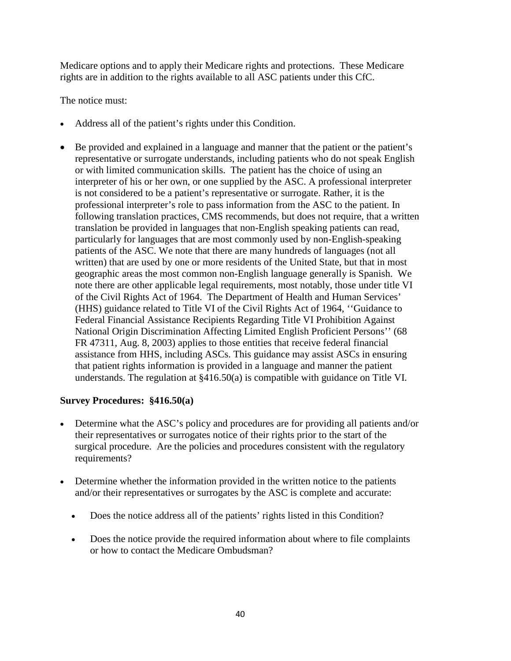Medicare options and to apply their Medicare rights and protections. These Medicare rights are in addition to the rights available to all ASC patients under this CfC.

The notice must:

- Address all of the patient's rights under this Condition.
- Be provided and explained in a language and manner that the patient or the patient's representative or surrogate understands, including patients who do not speak English or with limited communication skills. The patient has the choice of using an interpreter of his or her own, or one supplied by the ASC. A professional interpreter is not considered to be a patient's representative or surrogate. Rather, it is the professional interpreter's role to pass information from the ASC to the patient. In following translation practices, CMS recommends, but does not require, that a written translation be provided in languages that non-English speaking patients can read, particularly for languages that are most commonly used by non-English-speaking patients of the ASC. We note that there are many hundreds of languages (not all written) that are used by one or more residents of the United State, but that in most geographic areas the most common non-English language generally is Spanish. We note there are other applicable legal requirements, most notably, those under title VI of the Civil Rights Act of 1964. The Department of Health and Human Services' (HHS) guidance related to Title VI of the Civil Rights Act of 1964, ''Guidance to Federal Financial Assistance Recipients Regarding Title VI Prohibition Against National Origin Discrimination Affecting Limited English Proficient Persons'' (68 FR 47311, Aug. 8, 2003) applies to those entities that receive federal financial assistance from HHS, including ASCs. This guidance may assist ASCs in ensuring that patient rights information is provided in a language and manner the patient understands. The regulation at §416.50(a) is compatible with guidance on Title VI.

#### **Survey Procedures: §416.50(a)**

- Determine what the ASC's policy and procedures are for providing all patients and/or their representatives or surrogates notice of their rights prior to the start of the surgical procedure. Are the policies and procedures consistent with the regulatory requirements?
- Determine whether the information provided in the written notice to the patients and/or their representatives or surrogates by the ASC is complete and accurate:
	- Does the notice address all of the patients' rights listed in this Condition?
	- Does the notice provide the required information about where to file complaints or how to contact the Medicare Ombudsman?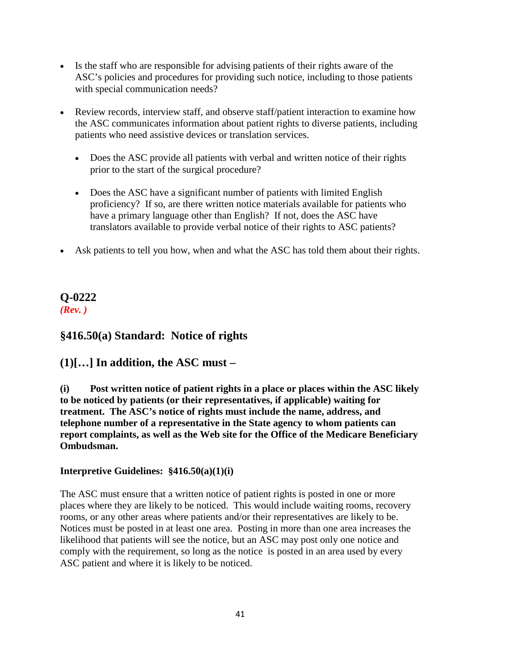- Is the staff who are responsible for advising patients of their rights aware of the ASC's policies and procedures for providing such notice, including to those patients with special communication needs?
- Review records, interview staff, and observe staff/patient interaction to examine how the ASC communicates information about patient rights to diverse patients, including patients who need assistive devices or translation services.
	- Does the ASC provide all patients with verbal and written notice of their rights prior to the start of the surgical procedure?
	- Does the ASC have a significant number of patients with limited English proficiency? If so, are there written notice materials available for patients who have a primary language other than English? If not, does the ASC have translators available to provide verbal notice of their rights to ASC patients?
- Ask patients to tell you how, when and what the ASC has told them about their rights.

# **Q-0222**

*(Rev. )*

## **§416.50(a) Standard: Notice of rights**

## **(1)[…] In addition, the ASC must –**

**(i) Post written notice of patient rights in a place or places within the ASC likely to be noticed by patients (or their representatives, if applicable) waiting for treatment. The ASC's notice of rights must include the name, address, and telephone number of a representative in the State agency to whom patients can report complaints, as well as the Web site for the Office of the Medicare Beneficiary Ombudsman.**

### **Interpretive Guidelines: §416.50(a)(1)(i)**

The ASC must ensure that a written notice of patient rights is posted in one or more places where they are likely to be noticed. This would include waiting rooms, recovery rooms, or any other areas where patients and/or their representatives are likely to be. Notices must be posted in at least one area. Posting in more than one area increases the likelihood that patients will see the notice, but an ASC may post only one notice and comply with the requirement, so long as the notice is posted in an area used by every ASC patient and where it is likely to be noticed.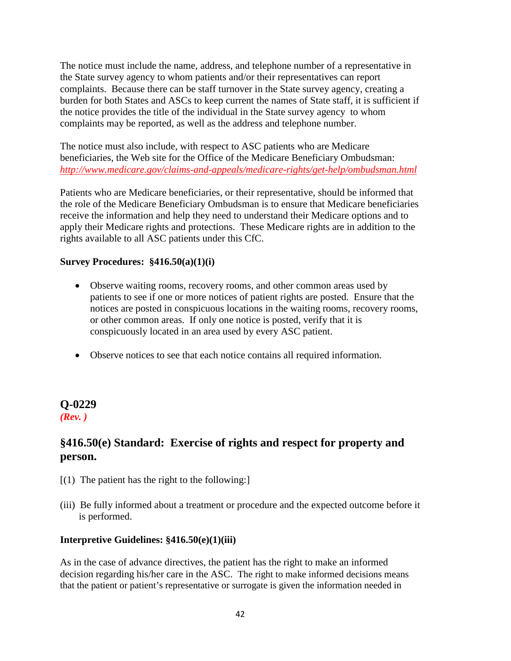The notice must include the name, address, and telephone number of a representative in the State survey agency to whom patients and/or their representatives can report complaints. Because there can be staff turnover in the State survey agency, creating a burden for both States and ASCs to keep current the names of State staff, it is sufficient if the notice provides the title of the individual in the State survey agency to whom complaints may be reported, as well as the address and telephone number.

The notice must also include, with respect to ASC patients who are Medicare beneficiaries, the Web site for the Office of the Medicare Beneficiary Ombudsman: *<http://www.medicare.gov/claims-and-appeals/medicare-rights/get-help/ombudsman.html>*

Patients who are Medicare beneficiaries, or their representative, should be informed that the role of the Medicare Beneficiary Ombudsman is to ensure that Medicare beneficiaries receive the information and help they need to understand their Medicare options and to apply their Medicare rights and protections. These Medicare rights are in addition to the rights available to all ASC patients under this CfC.

#### **Survey Procedures: §416.50(a)(1)(i)**

- Observe waiting rooms, recovery rooms, and other common areas used by patients to see if one or more notices of patient rights are posted. Ensure that the notices are posted in conspicuous locations in the waiting rooms, recovery rooms, or other common areas. If only one notice is posted, verify that it is conspicuously located in an area used by every ASC patient.
- Observe notices to see that each notice contains all required information.

## **Q-0229**

#### *(Rev. )*

## **§416.50(e) Standard: Exercise of rights and respect for property and person.**

- $[(1)$  The patient has the right to the following:
- (iii) Be fully informed about a treatment or procedure and the expected outcome before it is performed.

#### **Interpretive Guidelines: §416.50(e)(1)(iii)**

As in the case of advance directives, the patient has the right to make an informed decision regarding his/her care in the ASC. The right to make informed decisions means that the patient or patient's representative or surrogate is given the information needed in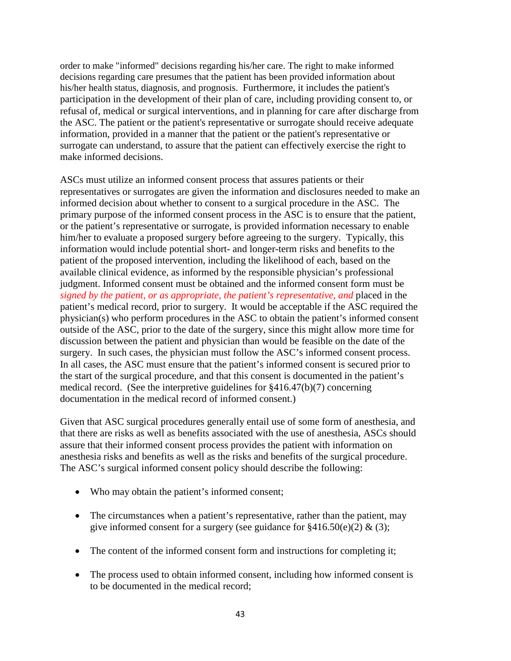order to make "informed" decisions regarding his/her care. The right to make informed decisions regarding care presumes that the patient has been provided information about his/her health status, diagnosis, and prognosis. Furthermore, it includes the patient's participation in the development of their plan of care, including providing consent to, or refusal of, medical or surgical interventions, and in planning for care after discharge from the ASC. The patient or the patient's representative or surrogate should receive adequate information, provided in a manner that the patient or the patient's representative or surrogate can understand, to assure that the patient can effectively exercise the right to make informed decisions.

ASCs must utilize an informed consent process that assures patients or their representatives or surrogates are given the information and disclosures needed to make an informed decision about whether to consent to a surgical procedure in the ASC. The primary purpose of the informed consent process in the ASC is to ensure that the patient, or the patient's representative or surrogate, is provided information necessary to enable him/her to evaluate a proposed surgery before agreeing to the surgery. Typically, this information would include potential short- and longer-term risks and benefits to the patient of the proposed intervention, including the likelihood of each, based on the available clinical evidence, as informed by the responsible physician's professional judgment. Informed consent must be obtained and the informed consent form must be *signed by the patient, or as appropriate, the patient's representative, and* placed in the patient's medical record, prior to surgery. It would be acceptable if the ASC required the physician(s) who perform procedures in the ASC to obtain the patient's informed consent outside of the ASC, prior to the date of the surgery, since this might allow more time for discussion between the patient and physician than would be feasible on the date of the surgery. In such cases, the physician must follow the ASC's informed consent process. In all cases, the ASC must ensure that the patient's informed consent is secured prior to the start of the surgical procedure, and that this consent is documented in the patient's medical record. (See the interpretive guidelines for §416.47(b)(7) concerning documentation in the medical record of informed consent.)

Given that ASC surgical procedures generally entail use of some form of anesthesia, and that there are risks as well as benefits associated with the use of anesthesia, ASCs should assure that their informed consent process provides the patient with information on anesthesia risks and benefits as well as the risks and benefits of the surgical procedure. The ASC's surgical informed consent policy should describe the following:

- Who may obtain the patient's informed consent;
- The circumstances when a patient's representative, rather than the patient, may give informed consent for a surgery (see guidance for  $\frac{2416.50(e)}{2}$  & (3);
- The content of the informed consent form and instructions for completing it;
- The process used to obtain informed consent, including how informed consent is to be documented in the medical record;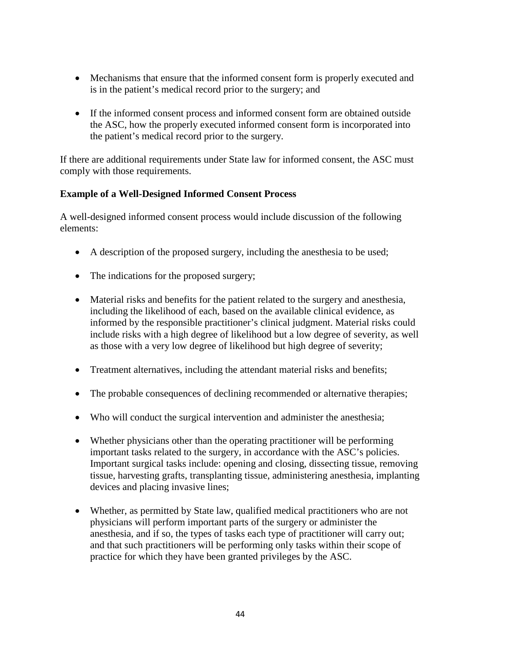- Mechanisms that ensure that the informed consent form is properly executed and is in the patient's medical record prior to the surgery; and
- If the informed consent process and informed consent form are obtained outside the ASC, how the properly executed informed consent form is incorporated into the patient's medical record prior to the surgery.

If there are additional requirements under State law for informed consent, the ASC must comply with those requirements.

#### **Example of a Well-Designed Informed Consent Process**

A well-designed informed consent process would include discussion of the following elements:

- A description of the proposed surgery, including the anesthesia to be used;
- The indications for the proposed surgery;
- Material risks and benefits for the patient related to the surgery and anesthesia, including the likelihood of each, based on the available clinical evidence, as informed by the responsible practitioner's clinical judgment. Material risks could include risks with a high degree of likelihood but a low degree of severity, as well as those with a very low degree of likelihood but high degree of severity;
- Treatment alternatives, including the attendant material risks and benefits;
- The probable consequences of declining recommended or alternative therapies;
- Who will conduct the surgical intervention and administer the anesthesia;
- Whether physicians other than the operating practitioner will be performing important tasks related to the surgery, in accordance with the ASC's policies. Important surgical tasks include: opening and closing, dissecting tissue, removing tissue, harvesting grafts, transplanting tissue, administering anesthesia, implanting devices and placing invasive lines;
- Whether, as permitted by State law, qualified medical practitioners who are not physicians will perform important parts of the surgery or administer the anesthesia, and if so, the types of tasks each type of practitioner will carry out; and that such practitioners will be performing only tasks within their scope of practice for which they have been granted privileges by the ASC.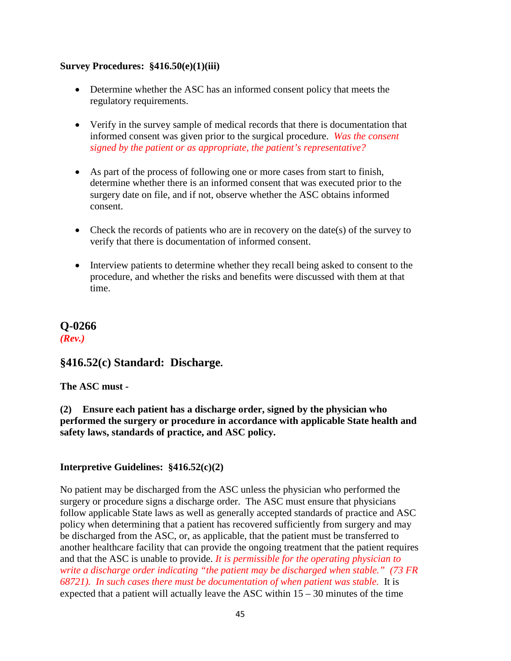#### **Survey Procedures: §416.50(e)(1)(iii)**

- Determine whether the ASC has an informed consent policy that meets the regulatory requirements.
- Verify in the survey sample of medical records that there is documentation that informed consent was given prior to the surgical procedure. *Was the consent signed by the patient or as appropriate, the patient's representative?*
- As part of the process of following one or more cases from start to finish, determine whether there is an informed consent that was executed prior to the surgery date on file, and if not, observe whether the ASC obtains informed consent.
- Check the records of patients who are in recovery on the date(s) of the survey to verify that there is documentation of informed consent.
- Interview patients to determine whether they recall being asked to consent to the procedure, and whether the risks and benefits were discussed with them at that time.

## **Q-0266** *(Rev.)*

## **§416.52(c) Standard: Discharge.**

#### **The ASC must -**

**(2) Ensure each patient has a discharge order, signed by the physician who performed the surgery or procedure in accordance with applicable State health and safety laws, standards of practice, and ASC policy.**

#### **Interpretive Guidelines: §416.52(c)(2)**

No patient may be discharged from the ASC unless the physician who performed the surgery or procedure signs a discharge order. The ASC must ensure that physicians follow applicable State laws as well as generally accepted standards of practice and ASC policy when determining that a patient has recovered sufficiently from surgery and may be discharged from the ASC, or, as applicable, that the patient must be transferred to another healthcare facility that can provide the ongoing treatment that the patient requires and that the ASC is unable to provide. *It is permissible for the operating physician to write a discharge order indicating "the patient may be discharged when stable." (73 FR 68721). In such cases there must be documentation of when patient was stable.* It is expected that a patient will actually leave the ASC within 15 – 30 minutes of the time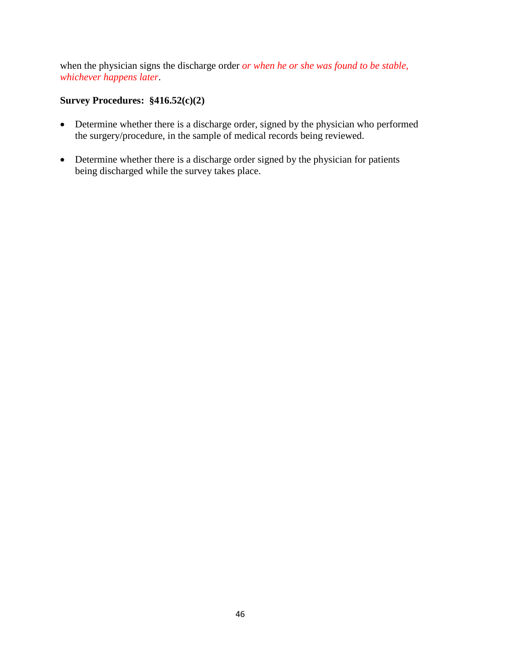when the physician signs the discharge order *or when he or she was found to be stable, whichever happens later*.

#### **Survey Procedures: §416.52(c)(2)**

- Determine whether there is a discharge order, signed by the physician who performed the surgery/procedure, in the sample of medical records being reviewed.
- Determine whether there is a discharge order signed by the physician for patients being discharged while the survey takes place.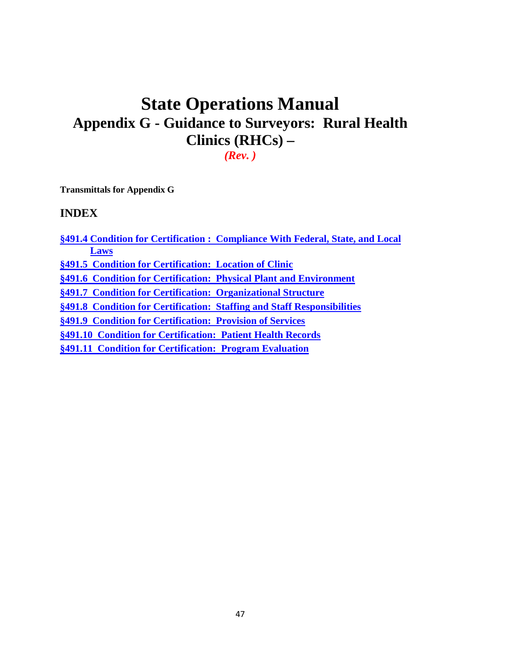# **State Operations Manual Appendix G - Guidance to Surveyors: Rural Health Clinics (RHCs) –**

*(Rev. )*

**Transmittals for Appendix G**

#### **INDEX**

**§491.4 Condition for Certification : Compliance With Federal, State, and Local Laws §491.5 Condition for Certification: Location of Clinic**

**§491.6 Condition for Certification: Physical Plant and Environment**

**§491.7 Condition for Certification: Organizational Structure**

**§491.8 Condition for Certification: Staffing and Staff Responsibilities**

**§491.9 Condition for Certification: Provision of Services**

**§491.10 Condition for Certification: Patient Health Records**

**§491.11 Condition for Certification: Program Evaluation**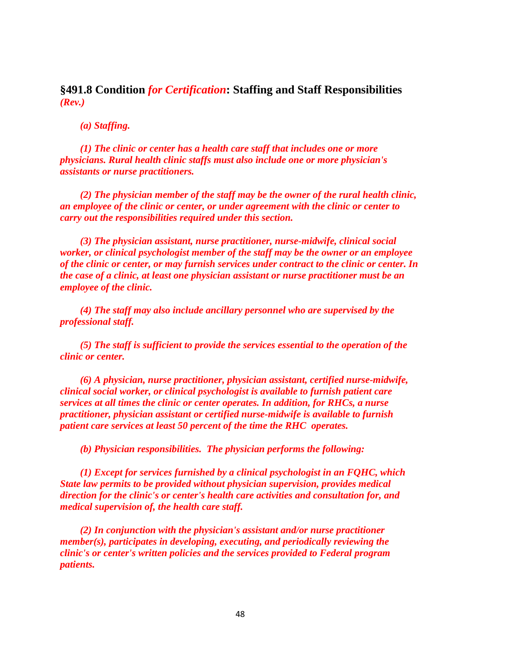**§491.8 Condition** *for Certification***: Staffing and Staff Responsibilities** *(Rev.)*

*(a) Staffing.*

*(1) The clinic or center has a health care staff that includes one or more physicians. Rural health clinic staffs must also include one or more physician's assistants or nurse practitioners.*

*(2) The physician member of the staff may be the owner of the rural health clinic, an employee of the clinic or center, or under agreement with the clinic or center to carry out the responsibilities required under this section.*

*(3) The physician assistant, nurse practitioner, nurse-midwife, clinical social worker, or clinical psychologist member of the staff may be the owner or an employee of the clinic or center, or may furnish services under contract to the clinic or center. In the case of a clinic, at least one physician assistant or nurse practitioner must be an employee of the clinic.*

*(4) The staff may also include ancillary personnel who are supervised by the professional staff.*

*(5) The staff is sufficient to provide the services essential to the operation of the clinic or center.*

*(6) A physician, nurse practitioner, physician assistant, certified nurse-midwife, clinical social worker, or clinical psychologist is available to furnish patient care services at all times the clinic or center operates. In addition, for RHCs, a nurse practitioner, physician assistant or certified nurse-midwife is available to furnish patient care services at least 50 percent of the time the RHC operates.*

*(b) Physician responsibilities. The physician performs the following:* 

*(1) Except for services furnished by a clinical psychologist in an FQHC, which State law permits to be provided without physician supervision, provides medical direction for the clinic's or center's health care activities and consultation for, and medical supervision of, the health care staff.* 

*(2) In conjunction with the physician's assistant and/or nurse practitioner member(s), participates in developing, executing, and periodically reviewing the clinic's or center's written policies and the services provided to Federal program patients.*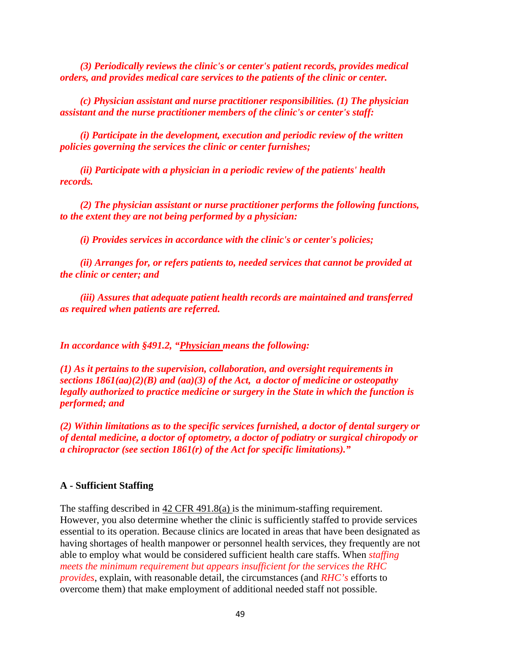*(3) Periodically reviews the clinic's or center's patient records, provides medical orders, and provides medical care services to the patients of the clinic or center.*

*(c) Physician assistant and nurse practitioner responsibilities. (1) The physician assistant and the nurse practitioner members of the clinic's or center's staff:*

*(i) Participate in the development, execution and periodic review of the written policies governing the services the clinic or center furnishes;*

*(ii) Participate with a physician in a periodic review of the patients' health records.*

*(2) The physician assistant or nurse practitioner performs the following functions, to the extent they are not being performed by a physician:*

*(i) Provides services in accordance with the clinic's or center's policies;*

*(ii) Arranges for, or refers patients to, needed services that cannot be provided at the clinic or center; and*

*(iii) Assures that adequate patient health records are maintained and transferred as required when patients are referred.*

*In accordance with §491.2, "Physician means the following:*

*(1) As it pertains to the supervision, collaboration, and oversight requirements in sections 1861(aa)(2)(B) and (aa)(3) of the Act, a doctor of medicine or osteopathy legally authorized to practice medicine or surgery in the State in which the function is performed; and*

*(2) Within limitations as to the specific services furnished, a doctor of dental surgery or of dental medicine, a doctor of optometry, a doctor of podiatry or surgical chiropody or a chiropractor (see section 1861(r) of the Act for specific limitations)."* 

#### **A - Sufficient Staffing**

The staffing described in  $42 \text{ CFR } 491.8(a)$  is the minimum-staffing requirement. However, you also determine whether the clinic is sufficiently staffed to provide services essential to its operation. Because clinics are located in areas that have been designated as having shortages of health manpower or personnel health services, they frequently are not able to employ what would be considered sufficient health care staffs. When *staffing meets the minimum requirement but appears insufficient for the services the RHC provides*, explain, with reasonable detail, the circumstances (and *RHC's* efforts to overcome them) that make employment of additional needed staff not possible.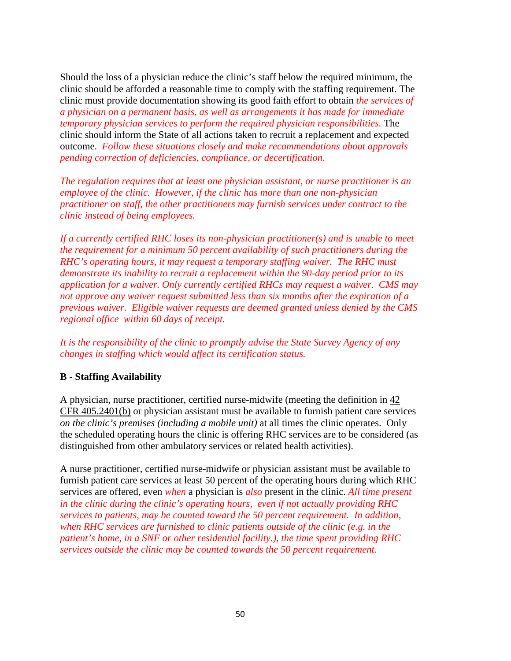Should the loss of a physician reduce the clinic's staff below the required minimum, the clinic should be afforded a reasonable time to comply with the staffing requirement. The clinic must provide documentation showing its good faith effort to obtain *the services of a physician on a permanent basis, as well as arrangements it has made for immediate temporary physician services to perform the required physician responsibilities.* The clinic should inform the State of all actions taken to recruit a replacement and expected outcome. *Follow these situations closely and make recommendations about approvals pending correction of deficiencies, compliance, or decertification.* 

*The regulation requires that at least one physician assistant, or nurse practitioner is an employee of the clinic. However, if the clinic has more than one non-physician practitioner on staff, the other practitioners may furnish services under contract to the clinic instead of being employees.*

*If a currently certified RHC loses its non-physician practitioner(s) and is unable to meet the requirement for a minimum 50 percent availability of such practitioners during the RHC's operating hours, it may request a temporary staffing waiver. The RHC must demonstrate its inability to recruit a replacement within the 90-day period prior to its application for a waiver. Only currently certified RHCs may request a waiver. CMS may not approve any waiver request submitted less than six months after the expiration of a previous waiver. Eligible waiver requests are deemed granted unless denied by the CMS regional office within 60 days of receipt.* 

*It is the responsibility of the clinic to promptly advise the State Survey Agency of any changes in staffing which would affect its certification status.*

#### **B - Staffing Availability**

A physician, nurse practitioner, certified nurse-midwife (meeting the definition in 42 CFR 405.2401(b) or physician assistant must be available to furnish patient care services *on the clinic's premises (including a mobile unit)* at all times the clinic operates. Only the scheduled operating hours the clinic is offering RHC services are to be considered (as distinguished from other ambulatory services or related health activities).

A nurse practitioner, certified nurse-midwife or physician assistant must be available to furnish patient care services at least 50 percent of the operating hours during which RHC services are offered, even *when* a physician is *also* present in the clinic. *All time present in the clinic during the clinic's operating hours, even if not actually providing RHC services to patients, may be counted toward the 50 percent requirement. In addition, when RHC services are furnished to clinic patients outside of the clinic (e.g. in the patient's home, in a SNF or other residential facility.), the time spent providing RHC services outside the clinic may be counted towards the 50 percent requirement.*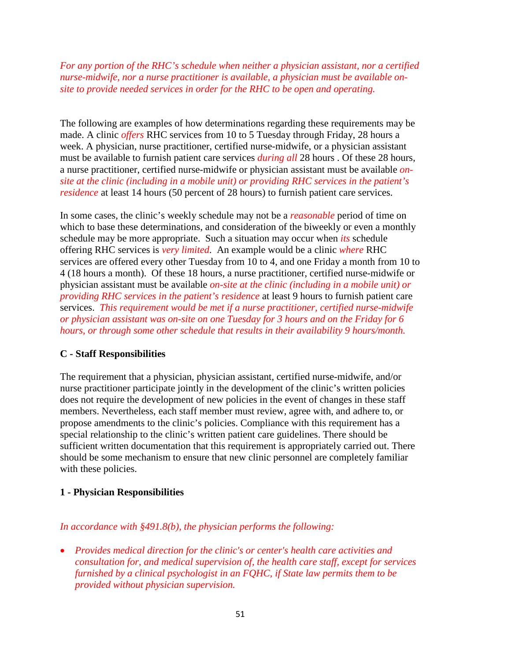*For any portion of the RHC's schedule when neither a physician assistant, nor a certified nurse-midwife, nor a nurse practitioner is available, a physician must be available onsite to provide needed services in order for the RHC to be open and operating.*

The following are examples of how determinations regarding these requirements may be made. A clinic *offers* RHC services from 10 to 5 Tuesday through Friday, 28 hours a week. A physician, nurse practitioner, certified nurse-midwife, or a physician assistant must be available to furnish patient care services *during all* 28 hours . Of these 28 hours, a nurse practitioner, certified nurse-midwife or physician assistant must be available *onsite at the clinic (including in a mobile unit) or providing RHC services in the patient's residence* at least 14 hours (50 percent of 28 hours) to furnish patient care services.

In some cases, the clinic's weekly schedule may not be a *reasonable* period of time on which to base these determinations, and consideration of the biweekly or even a monthly schedule may be more appropriate. Such a situation may occur when *its* schedule offering RHC services is *very limited*. An example would be a clinic *where* RHC services are offered every other Tuesday from 10 to 4, and one Friday a month from 10 to 4 (18 hours a month). Of these 18 hours, a nurse practitioner, certified nurse-midwife or physician assistant must be available *on-site at the clinic (including in a mobile unit) or providing RHC services in the patient's residence* at least 9 hours to furnish patient care services. *This requirement would be met if a nurse practitioner, certified nurse-midwife or physician assistant was on-site on one Tuesday for 3 hours and on the Friday for 6 hours, or through some other schedule that results in their availability 9 hours/month.*

#### **C - Staff Responsibilities**

The requirement that a physician, physician assistant, certified nurse-midwife, and/or nurse practitioner participate jointly in the development of the clinic's written policies does not require the development of new policies in the event of changes in these staff members. Nevertheless, each staff member must review, agree with, and adhere to, or propose amendments to the clinic's policies. Compliance with this requirement has a special relationship to the clinic's written patient care guidelines. There should be sufficient written documentation that this requirement is appropriately carried out. There should be some mechanism to ensure that new clinic personnel are completely familiar with these policies.

#### **1 - Physician Responsibilities**

#### *In accordance with §491.8(b), the physician performs the following:*

• *Provides medical direction for the clinic's or center's health care activities and consultation for, and medical supervision of, the health care staff, except for services furnished by a clinical psychologist in an FQHC, if State law permits them to be provided without physician supervision.*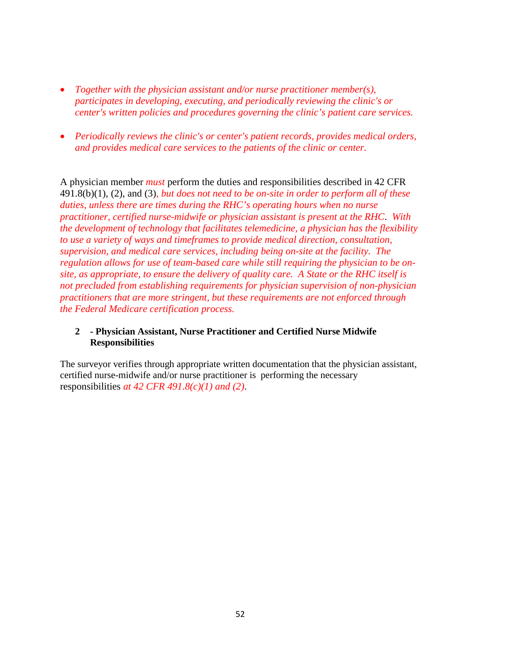- *Together with the physician assistant and/or nurse practitioner member(s), participates in developing, executing, and periodically reviewing the clinic's or center's written policies and procedures governing the clinic's patient care services.*
- *Periodically reviews the clinic's or center's patient records, provides medical orders, and provides medical care services to the patients of the clinic or center.*

A physician member *must* perform the duties and responsibilities described in 42 CFR 491.8(b)(1), (2), and (3)*, but does not need to be on-site in order to perform all of these duties, unless there are times during the RHC's operating hours when no nurse practitioner, certified nurse-midwife or physician assistant is present at the RHC*. *With the development of technology that facilitates telemedicine, a physician has the flexibility to use a variety of ways and timeframes to provide medical direction, consultation, supervision, and medical care services, including being on-site at the facility. The regulation allows for use of team-based care while still requiring the physician to be onsite, as appropriate, to ensure the delivery of quality care. A State or the RHC itself is not precluded from establishing requirements for physician supervision of non-physician practitioners that are more stringent, but these requirements are not enforced through the Federal Medicare certification process.* 

#### **2 - Physician Assistant, Nurse Practitioner and Certified Nurse Midwife Responsibilities**

The surveyor verifies through appropriate written documentation that the physician assistant, certified nurse-midwife and/or nurse practitioner is performing the necessary responsibilities *at 42 CFR 491.8(c)(1) and (2)*.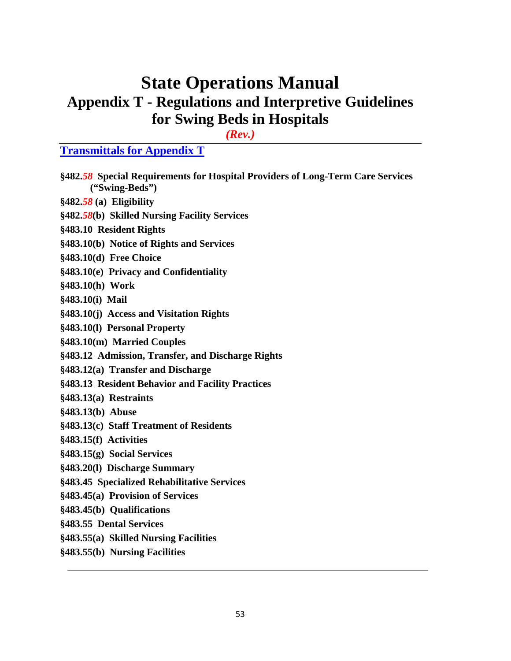# **State Operations Manual Appendix T - Regulations and Interpretive Guidelines for Swing Beds in Hospitals**

*(Rev.)*

## **Transmittals for Appendix T**

| §482.58 Special Requirements for Hospital Providers of Long-Term Care Services<br>("Swing-Beds") |
|--------------------------------------------------------------------------------------------------|
| $§482.58$ (a) Eligibility                                                                        |
| §482.58(b) Skilled Nursing Facility Services                                                     |
| §483.10 Resident Rights                                                                          |
| §483.10(b) Notice of Rights and Services                                                         |
| §483.10(d) Free Choice                                                                           |
| §483.10(e) Privacy and Confidentiality                                                           |
| §483.10(h) Work                                                                                  |
| §483.10(i) Mail                                                                                  |
| §483.10(j) Access and Visitation Rights                                                          |
| §483.10(l) Personal Property                                                                     |
| §483.10(m) Married Couples                                                                       |
| §483.12 Admission, Transfer, and Discharge Rights                                                |
| §483.12(a) Transfer and Discharge                                                                |
| §483.13 Resident Behavior and Facility Practices                                                 |
| §483.13(a) Restraints                                                                            |
| §483.13(b) Abuse                                                                                 |
| §483.13(c) Staff Treatment of Residents                                                          |
| §483.15(f) Activities                                                                            |
| §483.15(g) Social Services                                                                       |
| §483.20(1) Discharge Summary                                                                     |
| §483.45 Specialized Rehabilitative Services                                                      |
| §483.45(a) Provision of Services                                                                 |
| §483.45(b) Qualifications                                                                        |
| §483.55 Dental Services                                                                          |
| §483.55(a) Skilled Nursing Facilities                                                            |
| §483.55(b) Nursing Facilities                                                                    |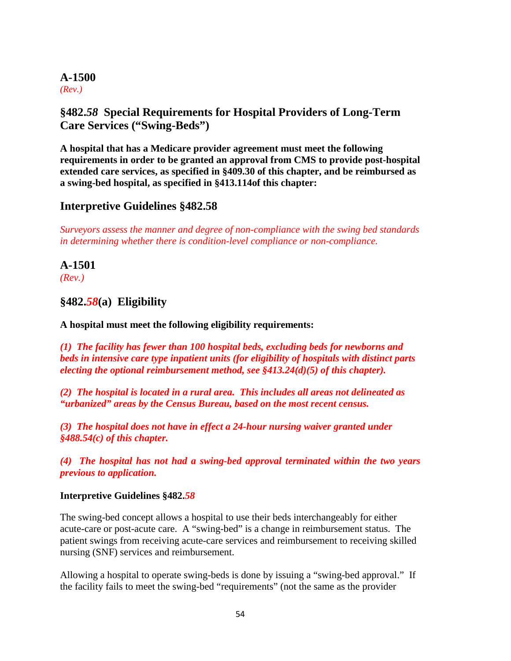#### **A-1500** *(Rev.)*

## <span id="page-58-0"></span>**§482.***58* **Special Requirements for Hospital Providers of Long-Term Care Services ("Swing-Beds")**

**A hospital that has a Medicare provider agreement must meet the following requirements in order to be granted an approval from CMS to provide post-hospital extended care services, as specified in §409.30 of this chapter, and be reimbursed as a swing-bed hospital, as specified in §413.114of this chapter:** 

## <span id="page-58-1"></span>**Interpretive Guidelines §482.58**

*Surveyors assess the manner and degree of non-compliance with the swing bed standards in determining whether there is condition-level compliance or non-compliance.*

#### **A-1501** *(Rev.)*

## **§482.***58***(a) Eligibility**

**A hospital must meet the following eligibility requirements:**

*(1) The facility has fewer than 100 hospital beds, excluding beds for newborns and beds in intensive care type inpatient units (for eligibility of hospitals with distinct parts electing the optional reimbursement method, see §413.24(d)(5) of this chapter).*

*(2) The hospital is located in a rural area. This includes all areas not delineated as "urbanized" areas by the Census Bureau, based on the most recent census.* 

*(3) The hospital does not have in effect a 24-hour nursing waiver granted under §488.54(c) of this chapter.*

*(4) The hospital has not had a swing-bed approval terminated within the two years previous to application.*

#### **Interpretive Guidelines §482.***58*

The swing-bed concept allows a hospital to use their beds interchangeably for either acute-care or post-acute care. A "swing-bed" is a change in reimbursement status. The patient swings from receiving acute-care services and reimbursement to receiving skilled nursing (SNF) services and reimbursement.

Allowing a hospital to operate swing-beds is done by issuing a "swing-bed approval." If the facility fails to meet the swing-bed "requirements" (not the same as the provider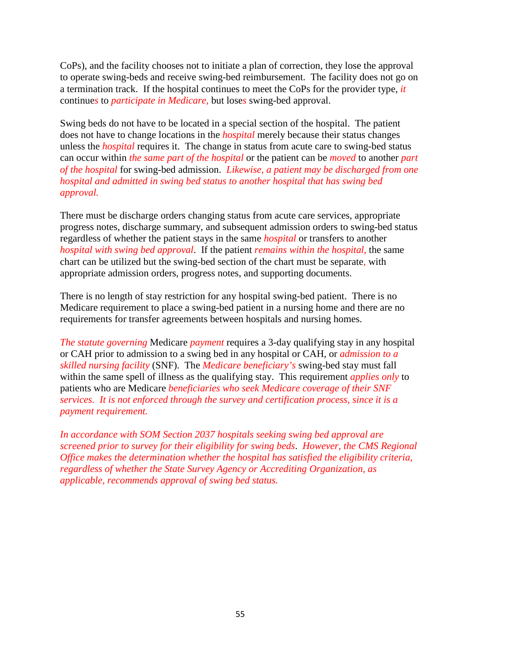CoPs), and the facility chooses not to initiate a plan of correction, they lose the approval to operate swing-beds and receive swing-bed reimbursement. The facility does not go on a termination track. If the hospital continues to meet the CoPs for the provider type, *it* continue*s* to *participate in Medicare,* but lose*s* swing-bed approval.

Swing beds do not have to be located in a special section of the hospital. The patient does not have to change locations in the *hospital* merely because their status changes unless the *hospital* requires it. The change in status from acute care to swing-bed status can occur within *the same part of the hospital* or the patient can be *moved* to another *part of the hospital* for swing-bed admission. *Likewise, a patient may be discharged from one hospital and admitted in swing bed status to another hospital that has swing bed approval.*

There must be discharge orders changing status from acute care services, appropriate progress notes, discharge summary, and subsequent admission orders to swing-bed status regardless of whether the patient stays in the same *hospital* or transfers to another *hospital with swing bed approval*. If the patient *remains within the hospital,* the same chart can be utilized but the swing-bed section of the chart must be separate*,* with appropriate admission orders, progress notes, and supporting documents.

There is no length of stay restriction for any hospital swing-bed patient. There is no Medicare requirement to place a swing-bed patient in a nursing home and there are no requirements for transfer agreements between hospitals and nursing homes.

*The statute governing* Medicare *payment* requires a 3-day qualifying stay in any hospital or CAH prior to admission to a swing bed in any hospital or CAH, or *admission to a skilled nursing facility* (SNF). The *Medicare beneficiary's* swing-bed stay must fall within the same spell of illness as the qualifying stay. This requirement *applies only* to patients who are Medicare *beneficiaries who seek Medicare coverage of their SNF services. It is not enforced through the survey and certification process, since it is a payment requirement.*

*In accordance with SOM Section 2037 hospitals seeking swing bed approval are screened prior to survey for their eligibility for swing beds*. *However, the CMS Regional Office makes the determination whether the hospital has satisfied the eligibility criteria, regardless of whether the State Survey Agency or Accrediting Organization, as applicable, recommends approval of swing bed status.*